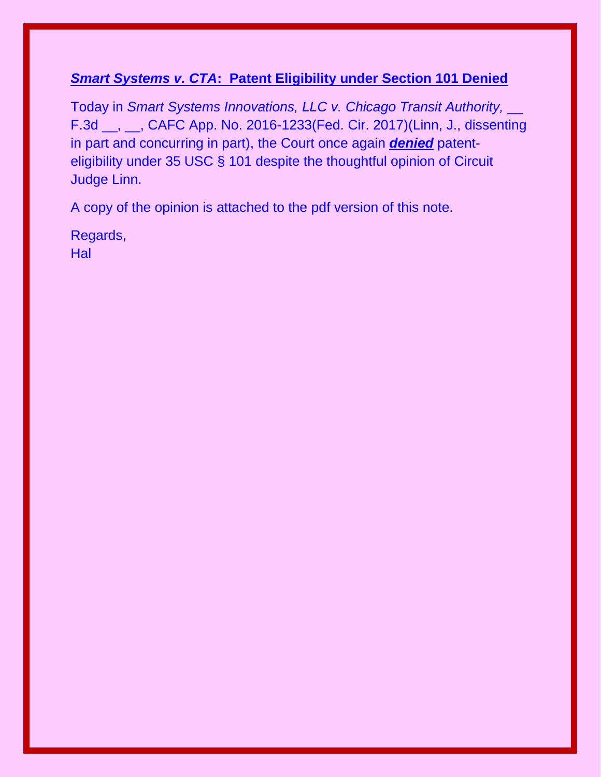## *Smart Systems v. CTA***: Patent Eligibility under Section 101 Denied**

Today in *Smart Systems Innovations, LLC v. Chicago Transit Authority, \_\_* F.3d \_\_, \_\_, CAFC App. No. 2016-1233(Fed. Cir. 2017)(Linn, J., dissenting in part and concurring in part), the Court once again *denied* patenteligibility under 35 USC § 101 despite the thoughtful opinion of Circuit Judge Linn.

A copy of the opinion is attached to the pdf version of this note.

Regards, **Hal**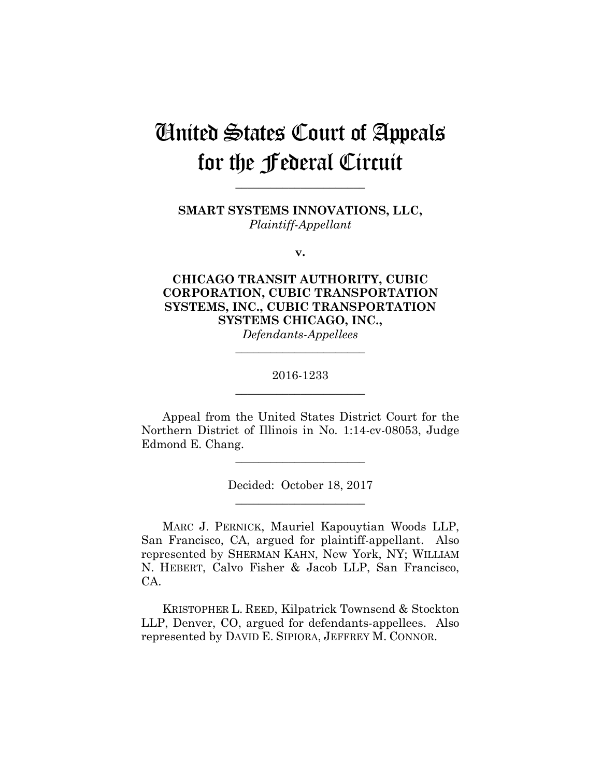# United States Court of Appeals for the Federal Circuit

**SMART SYSTEMS INNOVATIONS, LLC,** *Plaintiff-Appellant*

**\_\_\_\_\_\_\_\_\_\_\_\_\_\_\_\_\_\_\_\_\_\_** 

**v.**

## **CHICAGO TRANSIT AUTHORITY, CUBIC CORPORATION, CUBIC TRANSPORTATION SYSTEMS, INC., CUBIC TRANSPORTATION SYSTEMS CHICAGO, INC.,** *Defendants-Appellees*

## 2016-1233 **\_\_\_\_\_\_\_\_\_\_\_\_\_\_\_\_\_\_\_\_\_\_**

**\_\_\_\_\_\_\_\_\_\_\_\_\_\_\_\_\_\_\_\_\_\_** 

Appeal from the United States District Court for the Northern District of Illinois in No. 1:14-cv-08053, Judge Edmond E. Chang.

**\_\_\_\_\_\_\_\_\_\_\_\_\_\_\_\_\_\_\_\_\_\_** 

Decided: October 18, 2017 **\_\_\_\_\_\_\_\_\_\_\_\_\_\_\_\_\_\_\_\_\_\_** 

MARC J. PERNICK, Mauriel Kapouytian Woods LLP, San Francisco, CA, argued for plaintiff-appellant. Also represented by SHERMAN KAHN, New York, NY; WILLIAM N. HEBERT, Calvo Fisher & Jacob LLP, San Francisco, CA.

KRISTOPHER L. REED, Kilpatrick Townsend & Stockton LLP, Denver, CO, argued for defendants-appellees. Also represented by DAVID E. SIPIORA, JEFFREY M. CONNOR.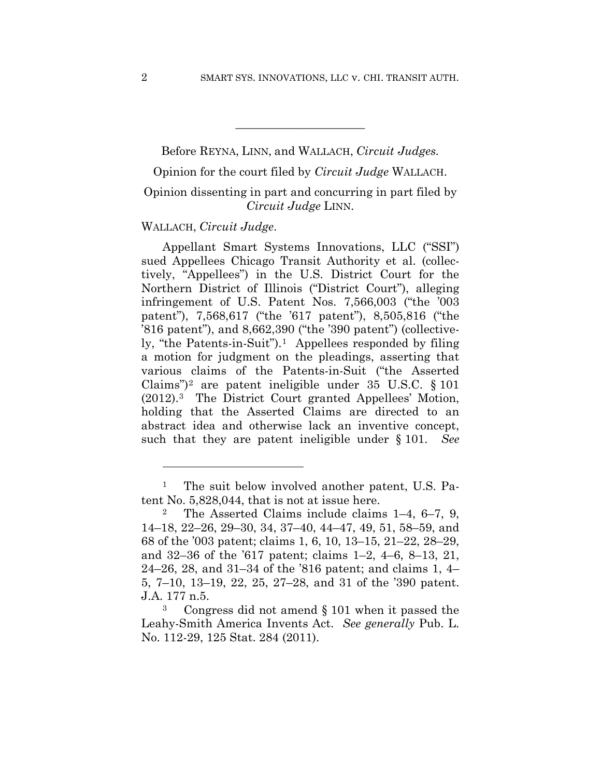Before REYNA, LINN, and WALLACH, *Circuit Judges.*

**\_\_\_\_\_\_\_\_\_\_\_\_\_\_\_\_\_\_\_\_\_\_** 

Opinion for the court filed by *Circuit Judge* WALLACH.

## Opinion dissenting in part and concurring in part filed by *Circuit Judge* LINN.

#### WALLACH, *Circuit Judge*.

1

Appellant Smart Systems Innovations, LLC ("SSI") sued Appellees Chicago Transit Authority et al. (collectively, "Appellees") in the U.S. District Court for the Northern District of Illinois ("District Court"), alleging infringement of U.S. Patent Nos. 7,566,003 ("the '003 patent"), 7,568,617 ("the '617 patent"), 8,505,816 ("the '816 patent"), and 8,662,390 ("the '390 patent") (collectively, "the Patents-in-Suit").1 Appellees responded by filing a motion for judgment on the pleadings, asserting that various claims of the Patents-in-Suit ("the Asserted Claims")<sup>2</sup> are patent ineligible under 35 U.S.C.  $\S$  101 (2012).3 The District Court granted Appellees' Motion, holding that the Asserted Claims are directed to an abstract idea and otherwise lack an inventive concept, such that they are patent ineligible under § 101.

<sup>&</sup>lt;sup>1</sup> The suit below involved another patent, U.S. Patent No. 5,828,044, that is not at issue here.

<sup>2</sup> The Asserted Claims include claims 1–4, 6–7, 9, 14–18, 22–26, 29–30, 34, 37–40, 44–47, 49, 51, 58–59, and 68 of the '003 patent; claims 1, 6, 10, 13–15, 21–22, 28–29, and 32–36 of the '617 patent; claims 1–2, 4–6, 8–13, 21, 24–26, 28, and 31–34 of the '816 patent; and claims 1, 4– 5, 7–10, 13–19, 22, 25, 27–28, and 31 of the '390 patent. J.A. 177 n.5.

<sup>3</sup> Congress did not amend § 101 when it passed the Leahy-Smith America Invents Act. *See generally* Pub. L. No. 112-29, 125 Stat. 284 (2011).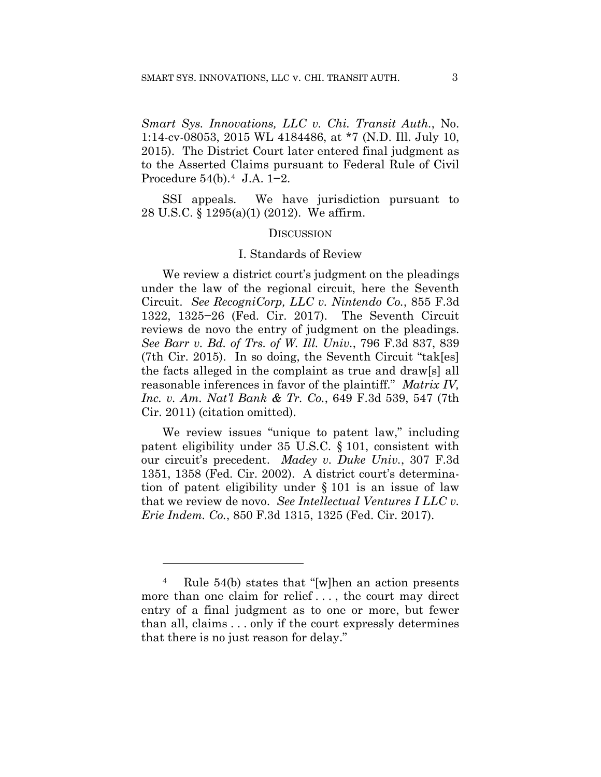*Smart Sys. Innovations, LLC v. Chi. Transit Auth.*, No. 1:14-cv-08053, 2015 WL 4184486, at \*7 (N.D. Ill. July 10, 2015). The District Court later entered final judgment as to the Asserted Claims pursuant to Federal Rule of Civil Procedure 54(b).4 J.A. 1−2.

SSI appeals. We have jurisdiction pursuant to 28 U.S.C. § 1295(a)(1) (2012). We affirm.

#### **DISCUSSION**

#### I. Standards of Review

We review a district court's judgment on the pleadings under the law of the regional circuit, here the Seventh Circuit. *See RecogniCorp, LLC v. Nintendo Co.*, 855 F.3d 1322, 1325−26 (Fed. Cir. 2017). The Seventh Circuit reviews de novo the entry of judgment on the pleadings. *See Barr v. Bd. of Trs. of W. Ill. Univ.*, 796 F.3d 837, 839 (7th Cir. 2015). In so doing, the Seventh Circuit "tak[es] the facts alleged in the complaint as true and draw[s] all reasonable inferences in favor of the plaintiff." *Matrix IV, Inc. v. Am. Nat'l Bank & Tr. Co.*, 649 F.3d 539, 547 (7th Cir. 2011) (citation omitted).

We review issues "unique to patent law," including patent eligibility under 35 U.S.C. § 101, consistent with our circuit's precedent. *Madey v. Duke Univ.*, 307 F.3d 1351, 1358 (Fed. Cir. 2002). A district court's determination of patent eligibility under § 101 is an issue of law that we review de novo. *See Intellectual Ventures I LLC v. Erie Indem. Co.*, 850 F.3d 1315, 1325 (Fed. Cir. 2017).

1

<sup>4</sup> Rule 54(b) states that "[w]hen an action presents more than one claim for relief . . . , the court may direct entry of a final judgment as to one or more, but fewer than all, claims . . . only if the court expressly determines that there is no just reason for delay."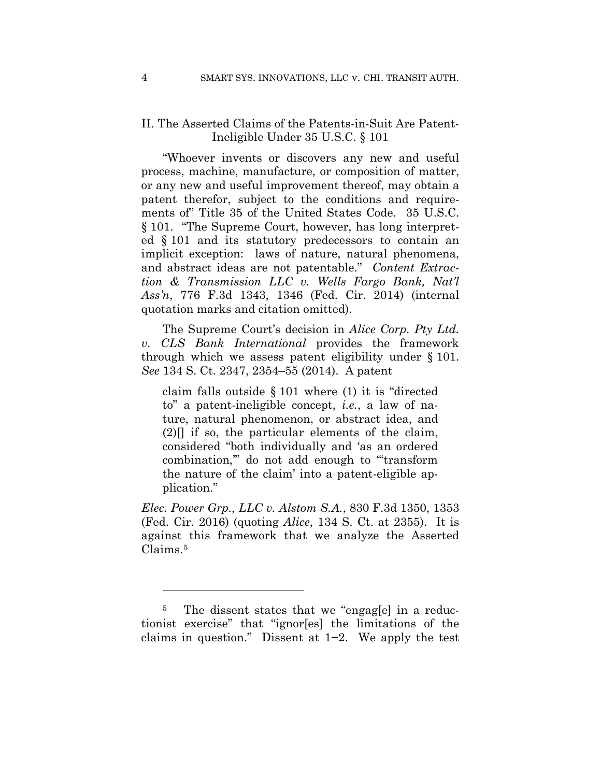## II. The Asserted Claims of the Patents-in-Suit Are Patent-Ineligible Under 35 U.S.C. § 101

"Whoever invents or discovers any new and useful process, machine, manufacture, or composition of matter, or any new and useful improvement thereof, may obtain a patent therefor, subject to the conditions and requirements of" Title 35 of the United States Code. 35 U.S.C. § 101. "The Supreme Court, however, has long interpreted § 101 and its statutory predecessors to contain an implicit exception: laws of nature, natural phenomena, and abstract ideas are not patentable." *Content Extraction & Transmission LLC v. Wells Fargo Bank, Nat'l Ass'n*, 776 F.3d 1343, 1346 (Fed. Cir. 2014) (internal quotation marks and citation omitted).

The Supreme Court's decision in *Alice Corp. Pty Ltd. v. CLS Bank International* provides the framework through which we assess patent eligibility under § 101. *See* 134 S. Ct. 2347, 2354–55 (2014). A patent

claim falls outside § 101 where (1) it is "directed to" a patent-ineligible concept, *i.e.*, a law of nature, natural phenomenon, or abstract idea, and  $(2)$ [] if so, the particular elements of the claim, considered "both individually and 'as an ordered combination,'" do not add enough to "'transform the nature of the claim' into a patent-eligible application."

*Elec. Power Grp., LLC v. Alstom S.A.*, 830 F.3d 1350, 1353 (Fed. Cir. 2016) (quoting *Alice*, 134 S. Ct. at 2355). It is against this framework that we analyze the Asserted Claims.5

1

<sup>&</sup>lt;sup>5</sup> The dissent states that we "engagle in a reductionist exercise" that "ignor[es] the limitations of the claims in question." Dissent at 1−2. We apply the test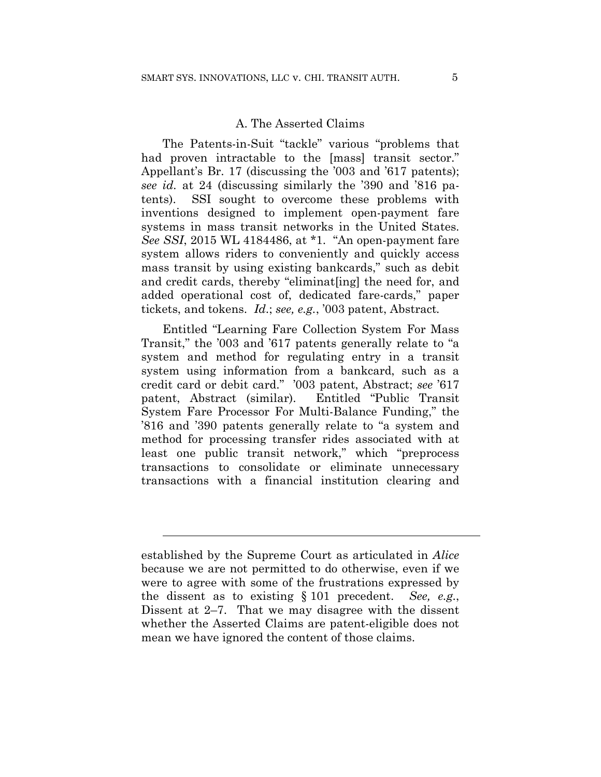### A. The Asserted Claims

The Patents-in-Suit "tackle" various "problems that had proven intractable to the [mass] transit sector." Appellant's Br. 17 (discussing the '003 and '617 patents); *see id.* at 24 (discussing similarly the '390 and '816 patents). SSI sought to overcome these problems with inventions designed to implement open-payment fare systems in mass transit networks in the United States. *See SSI*, 2015 WL 4184486, at \*1. "An open-payment fare system allows riders to conveniently and quickly access mass transit by using existing bankcards," such as debit and credit cards, thereby "eliminat[ing] the need for, and added operational cost of, dedicated fare-cards," paper tickets, and tokens. *Id*.; *see, e.g.*, '003 patent, Abstract*.*

Entitled "Learning Fare Collection System For Mass Transit," the '003 and '617 patents generally relate to "a system and method for regulating entry in a transit system using information from a bankcard, such as a credit card or debit card." '003 patent, Abstract; *see* '617 patent, Abstract (similar). Entitled "Public Transit System Fare Processor For Multi-Balance Funding," the '816 and '390 patents generally relate to "a system and method for processing transfer rides associated with at least one public transit network," which "preprocess transactions to consolidate or eliminate unnecessary transactions with a financial institution clearing and

 $\overline{a}$ 

established by the Supreme Court as articulated in *Alice*  because we are not permitted to do otherwise, even if we were to agree with some of the frustrations expressed by the dissent as to existing § 101 precedent. *See, e.g.*, Dissent at 2–7. That we may disagree with the dissent whether the Asserted Claims are patent-eligible does not mean we have ignored the content of those claims.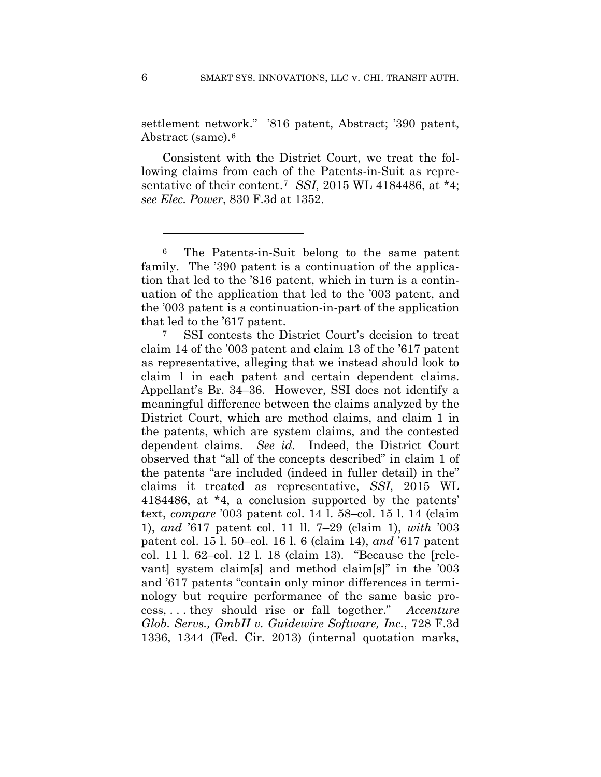settlement network." '816 patent, Abstract; '390 patent, Abstract (same).6

Consistent with the District Court, we treat the following claims from each of the Patents-in-Suit as representative of their content.7 *SSI*, 2015 WL 4184486, at \*4; *see Elec. Power*, 830 F.3d at 1352.

<sup>7</sup> SSI contests the District Court's decision to treat claim 14 of the '003 patent and claim 13 of the '617 patent as representative, alleging that we instead should look to claim 1 in each patent and certain dependent claims. Appellant's Br. 34–36. However, SSI does not identify a meaningful difference between the claims analyzed by the District Court, which are method claims, and claim 1 in the patents, which are system claims, and the contested dependent claims. *See id.* Indeed, the District Court observed that "all of the concepts described" in claim 1 of the patents "are included (indeed in fuller detail) in the" claims it treated as representative, *SSI*, 2015 WL 4184486, at \*4, a conclusion supported by the patents' text, *compare* '003 patent col. 14 l. 58–col. 15 l. 14 (claim 1), *and* '617 patent col. 11 ll. 7–29 (claim 1), *with* '003 patent col. 15 l. 50–col. 16 l. 6 (claim 14), *and* '617 patent col. 11 l. 62–col. 12 l. 18 (claim 13). "Because the [relevant] system claim[s] and method claim[s]" in the '003 and '617 patents "contain only minor differences in terminology but require performance of the same basic process, . . . they should rise or fall together." *Accenture Glob. Servs., GmbH v. Guidewire Software, Inc.*, 728 F.3d 1336, 1344 (Fed. Cir. 2013) (internal quotation marks,

1

<sup>6</sup> The Patents-in-Suit belong to the same patent family. The '390 patent is a continuation of the application that led to the '816 patent, which in turn is a continuation of the application that led to the '003 patent, and the '003 patent is a continuation-in-part of the application that led to the '617 patent.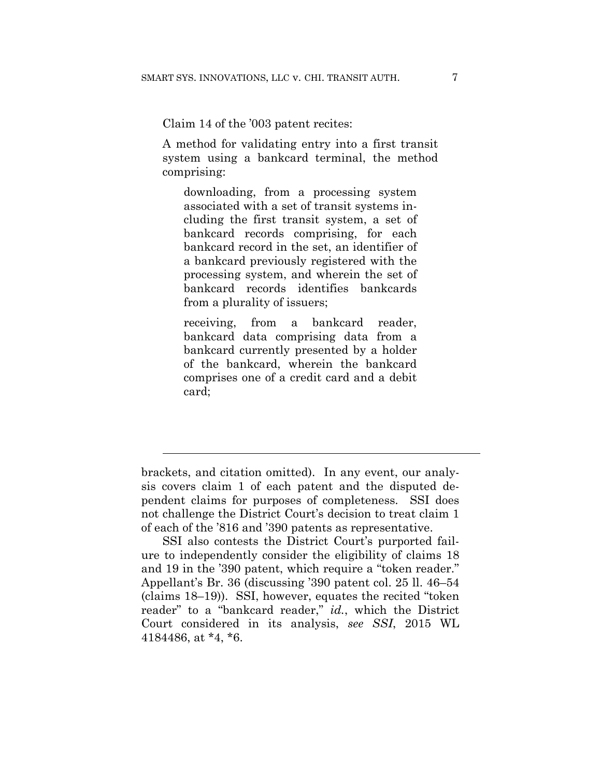Claim 14 of the '003 patent recites:

A method for validating entry into a first transit system using a bankcard terminal, the method comprising:

downloading, from a processing system associated with a set of transit systems including the first transit system, a set of bankcard records comprising, for each bankcard record in the set, an identifier of a bankcard previously registered with the processing system, and wherein the set of bankcard records identifies bankcards from a plurality of issuers;

receiving, from a bankcard reader, bankcard data comprising data from a bankcard currently presented by a holder of the bankcard, wherein the bankcard comprises one of a credit card and a debit card;

 $\overline{a}$ 

brackets, and citation omitted). In any event, our analysis covers claim 1 of each patent and the disputed dependent claims for purposes of completeness. SSI does not challenge the District Court's decision to treat claim 1 of each of the '816 and '390 patents as representative.

SSI also contests the District Court's purported failure to independently consider the eligibility of claims 18 and 19 in the '390 patent, which require a "token reader." Appellant's Br. 36 (discussing '390 patent col. 25 ll. 46–54 (claims 18–19)). SSI, however, equates the recited "token reader" to a "bankcard reader," *id.*, which the District Court considered in its analysis, *see SSI*, 2015 WL 4184486, at \*4, \*6.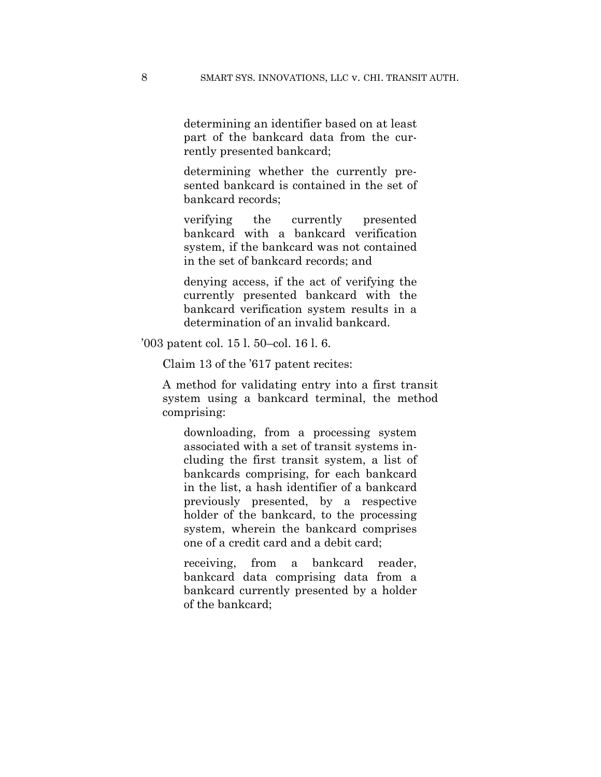determining an identifier based on at least part of the bankcard data from the currently presented bankcard;

determining whether the currently presented bankcard is contained in the set of bankcard records;

verifying the currently presented bankcard with a bankcard verification system, if the bankcard was not contained in the set of bankcard records; and

denying access, if the act of verifying the currently presented bankcard with the bankcard verification system results in a determination of an invalid bankcard.

'003 patent col. 15 l. 50–col. 16 l. 6.

Claim 13 of the '617 patent recites:

A method for validating entry into a first transit system using a bankcard terminal, the method comprising:

downloading, from a processing system associated with a set of transit systems including the first transit system, a list of bankcards comprising, for each bankcard in the list, a hash identifier of a bankcard previously presented, by a respective holder of the bankcard, to the processing system, wherein the bankcard comprises one of a credit card and a debit card;

receiving, from a bankcard reader, bankcard data comprising data from a bankcard currently presented by a holder of the bankcard;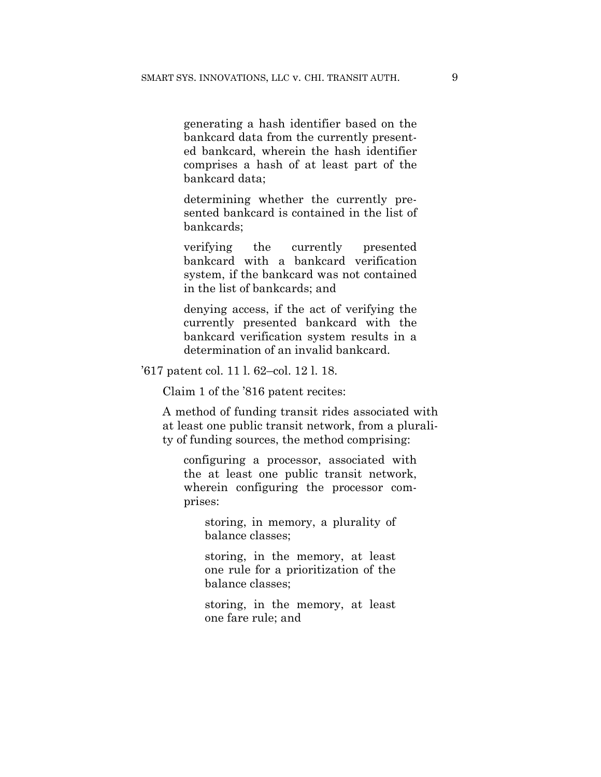generating a hash identifier based on the bankcard data from the currently presented bankcard, wherein the hash identifier comprises a hash of at least part of the bankcard data;

determining whether the currently presented bankcard is contained in the list of bankcards;

verifying the currently presented bankcard with a bankcard verification system, if the bankcard was not contained in the list of bankcards; and

denying access, if the act of verifying the currently presented bankcard with the bankcard verification system results in a determination of an invalid bankcard.

'617 patent col. 11 l. 62–col. 12 l. 18.

Claim 1 of the '816 patent recites:

A method of funding transit rides associated with at least one public transit network, from a plurality of funding sources, the method comprising:

configuring a processor, associated with the at least one public transit network, wherein configuring the processor comprises:

storing, in memory, a plurality of balance classes;

storing, in the memory, at least one rule for a prioritization of the balance classes;

storing, in the memory, at least one fare rule; and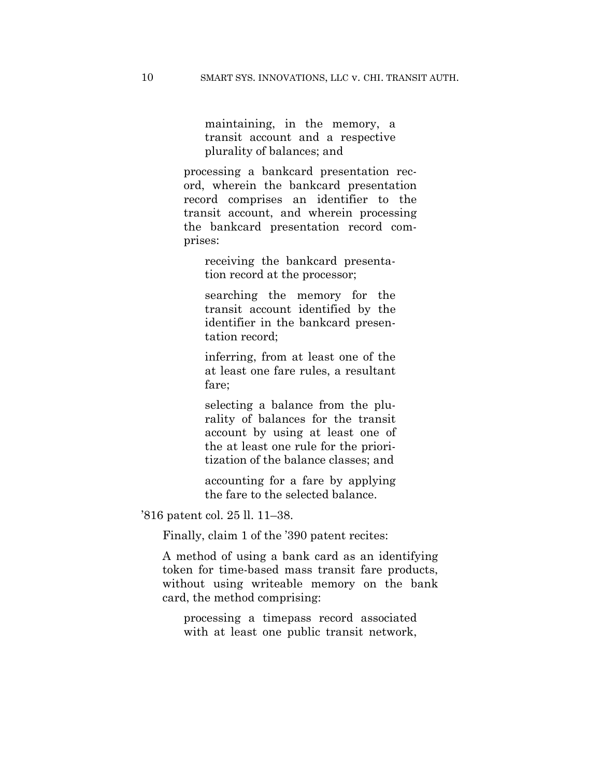maintaining, in the memory, a transit account and a respective plurality of balances; and

processing a bankcard presentation record, wherein the bankcard presentation record comprises an identifier to the transit account, and wherein processing the bankcard presentation record comprises:

receiving the bankcard presentation record at the processor;

searching the memory for the transit account identified by the identifier in the bankcard presentation record;

inferring, from at least one of the at least one fare rules, a resultant fare;

selecting a balance from the plurality of balances for the transit account by using at least one of the at least one rule for the prioritization of the balance classes; and

accounting for a fare by applying the fare to the selected balance.

'816 patent col. 25 ll. 11–38.

Finally, claim 1 of the '390 patent recites:

A method of using a bank card as an identifying token for time-based mass transit fare products, without using writeable memory on the bank card, the method comprising:

processing a timepass record associated with at least one public transit network,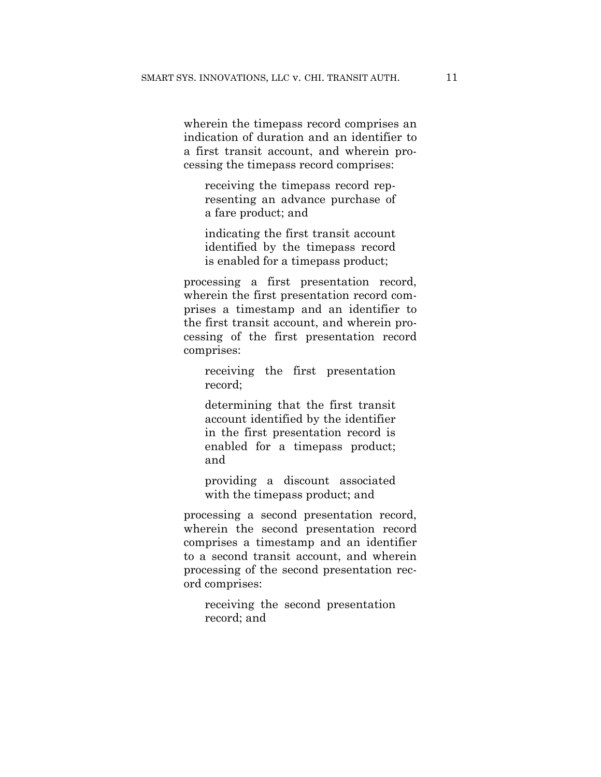wherein the timepass record comprises an indication of duration and an identifier to a first transit account, and wherein processing the timepass record comprises:

receiving the timepass record representing an advance purchase of a fare product; and

indicating the first transit account identified by the timepass record is enabled for a timepass product;

processing a first presentation record, wherein the first presentation record comprises a timestamp and an identifier to the first transit account, and wherein processing of the first presentation record comprises:

receiving the first presentation record;

determining that the first transit account identified by the identifier in the first presentation record is enabled for a timepass product; and

providing a discount associated with the timepass product; and

processing a second presentation record, wherein the second presentation record comprises a timestamp and an identifier to a second transit account, and wherein processing of the second presentation record comprises:

receiving the second presentation record; and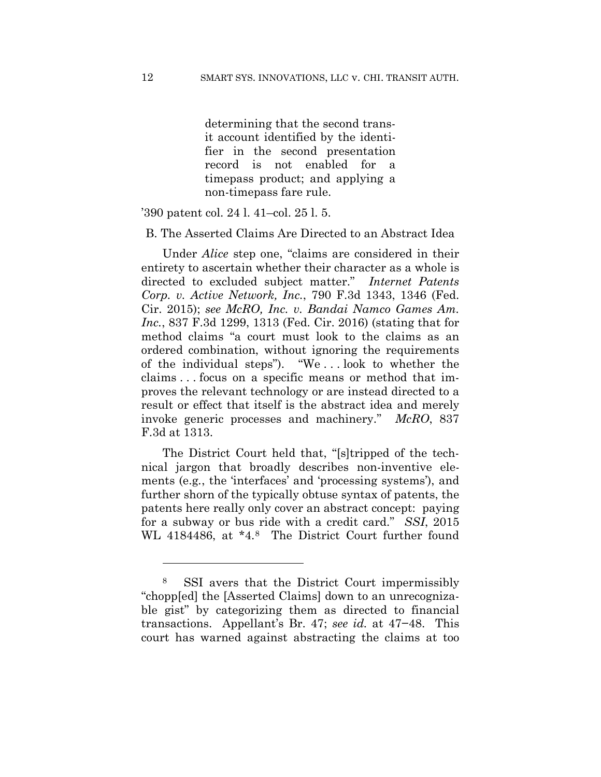determining that the second transit account identified by the identifier in the second presentation record is not enabled for a timepass product; and applying a non-timepass fare rule.

'390 patent col. 24 l. 41–col. 25 l. 5.

B. The Asserted Claims Are Directed to an Abstract Idea

Under *Alice* step one, "claims are considered in their entirety to ascertain whether their character as a whole is directed to excluded subject matter." *Internet Patents Corp. v. Active Network, Inc.*, 790 F.3d 1343, 1346 (Fed. Cir. 2015); *see McRO, Inc. v. Bandai Namco Games Am. Inc.*, 837 F.3d 1299, 1313 (Fed. Cir. 2016) (stating that for method claims "a court must look to the claims as an ordered combination, without ignoring the requirements of the individual steps"). "We . . . look to whether the claims . . . focus on a specific means or method that improves the relevant technology or are instead directed to a result or effect that itself is the abstract idea and merely invoke generic processes and machinery." *McRO*, 837 F.3d at 1313.

The District Court held that, "[s]tripped of the technical jargon that broadly describes non-inventive elements (e.g*.*, the 'interfaces' and 'processing systems'), and further shorn of the typically obtuse syntax of patents, the patents here really only cover an abstract concept: paying for a subway or bus ride with a credit card." *SSI*, 2015 WL 4184486, at \*4.8 The District Court further found

1

<sup>8</sup> SSI avers that the District Court impermissibly "chopp[ed] the [Asserted Claims] down to an unrecognizable gist" by categorizing them as directed to financial transactions. Appellant's Br. 47; *see id.* at 47−48. This court has warned against abstracting the claims at too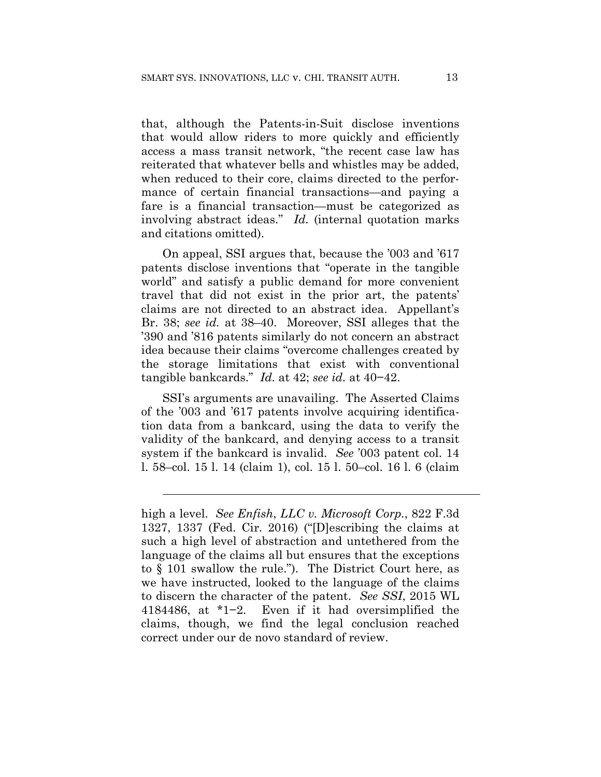that, although the Patents-in-Suit disclose inventions that would allow riders to more quickly and efficiently access a mass transit network, "the recent case law has reiterated that whatever bells and whistles may be added, when reduced to their core, claims directed to the performance of certain financial transactions—and paying a fare is a financial transaction—must be categorized as involving abstract ideas." *Id.* (internal quotation marks and citations omitted).

On appeal, SSI argues that, because the '003 and '617 patents disclose inventions that "operate in the tangible world" and satisfy a public demand for more convenient travel that did not exist in the prior art, the patents' claims are not directed to an abstract idea. Appellant's Br. 38; *see id.* at 38–40. Moreover, SSI alleges that the '390 and '816 patents similarly do not concern an abstract idea because their claims "overcome challenges created by the storage limitations that exist with conventional tangible bankcards." *Id.* at 42; *see id.* at 40−42.

SSI's arguments are unavailing. The Asserted Claims of the '003 and '617 patents involve acquiring identification data from a bankcard, using the data to verify the validity of the bankcard, and denying access to a transit system if the bankcard is invalid. *See* '003 patent col. 14 l. 58–col. 15 l. 14 (claim 1), col. 15 l. 50–col. 16 l. 6 (claim

 $\overline{a}$ 

high a level. *See Enfish*, *LLC v. Microsoft Corp.*, 822 F.3d 1327, 1337 (Fed. Cir. 2016) ("[D]escribing the claims at such a high level of abstraction and untethered from the language of the claims all but ensures that the exceptions to § 101 swallow the rule."). The District Court here, as we have instructed, looked to the language of the claims to discern the character of the patent. *See SSI*, 2015 WL 4184486, at \*1−2. Even if it had oversimplified the claims, though, we find the legal conclusion reached correct under our de novo standard of review.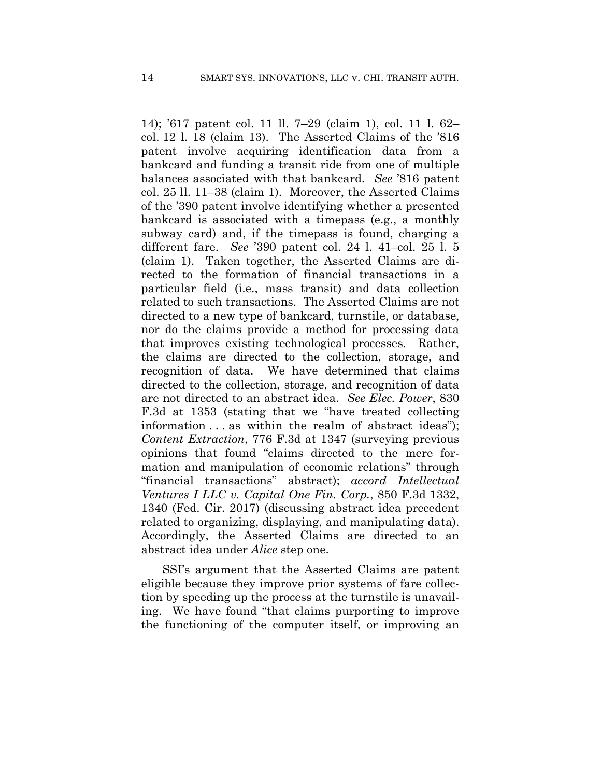14); '617 patent col. 11 ll. 7–29 (claim 1), col. 11 l. 62– col. 12 l. 18 (claim 13). The Asserted Claims of the '816 patent involve acquiring identification data from a bankcard and funding a transit ride from one of multiple balances associated with that bankcard. *See* '816 patent col. 25 ll. 11–38 (claim 1). Moreover, the Asserted Claims of the '390 patent involve identifying whether a presented bankcard is associated with a timepass (e.g., a monthly subway card) and, if the timepass is found, charging a different fare. *See* '390 patent col. 24 l. 41–col. 25 l. 5 (claim 1). Taken together, the Asserted Claims are directed to the formation of financial transactions in a particular field (i.e., mass transit) and data collection related to such transactions. The Asserted Claims are not directed to a new type of bankcard, turnstile, or database, nor do the claims provide a method for processing data that improves existing technological processes. Rather, the claims are directed to the collection, storage, and recognition of data. We have determined that claims directed to the collection, storage, and recognition of data are not directed to an abstract idea. *See Elec. Power*, 830 F.3d at 1353 (stating that we "have treated collecting information . . . as within the realm of abstract ideas"); *Content Extraction*, 776 F.3d at 1347 (surveying previous opinions that found "claims directed to the mere formation and manipulation of economic relations" through "financial transactions" abstract); *accord Intellectual Ventures I LLC v. Capital One Fin. Corp.*, 850 F.3d 1332, 1340 (Fed. Cir. 2017) (discussing abstract idea precedent related to organizing, displaying, and manipulating data). Accordingly, the Asserted Claims are directed to an abstract idea under *Alice* step one.

SSI's argument that the Asserted Claims are patent eligible because they improve prior systems of fare collection by speeding up the process at the turnstile is unavailing. We have found "that claims purporting to improve the functioning of the computer itself, or improving an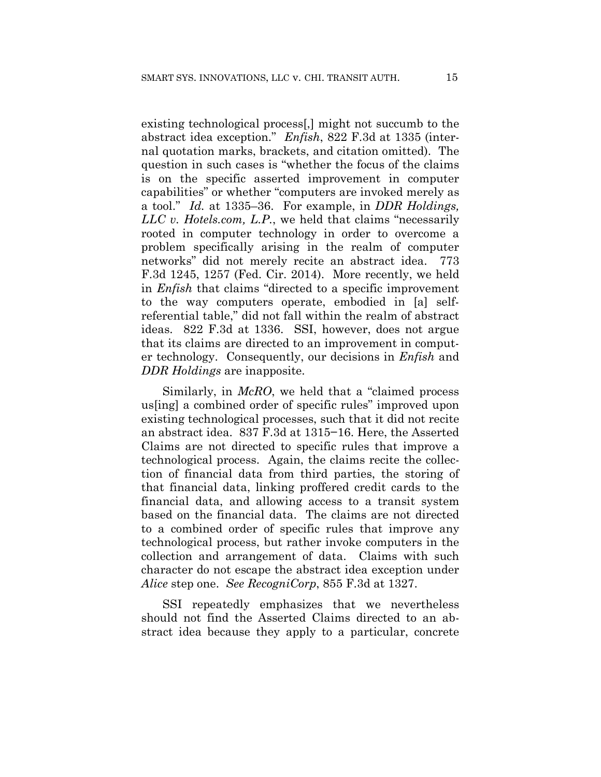existing technological process[,] might not succumb to the abstract idea exception." *Enfish*, 822 F.3d at 1335 (internal quotation marks, brackets, and citation omitted). The question in such cases is "whether the focus of the claims is on the specific asserted improvement in computer capabilities" or whether "computers are invoked merely as a tool." *Id.* at 1335–36. For example, in *DDR Holdings, LLC v. Hotels.com, L.P.*, we held that claims "necessarily rooted in computer technology in order to overcome a problem specifically arising in the realm of computer networks" did not merely recite an abstract idea. 773 F.3d 1245, 1257 (Fed. Cir. 2014). More recently, we held in *Enfish* that claims "directed to a specific improvement to the way computers operate, embodied in [a] selfreferential table," did not fall within the realm of abstract ideas. 822 F.3d at 1336. SSI, however, does not argue that its claims are directed to an improvement in computer technology. Consequently, our decisions in *Enfish* and *DDR Holdings* are inapposite.

Similarly, in *McRO*, we held that a "claimed process us[ing] a combined order of specific rules" improved upon existing technological processes, such that it did not recite an abstract idea. 837 F.3d at 1315−16. Here, the Asserted Claims are not directed to specific rules that improve a technological process. Again, the claims recite the collection of financial data from third parties, the storing of that financial data, linking proffered credit cards to the financial data, and allowing access to a transit system based on the financial data. The claims are not directed to a combined order of specific rules that improve any technological process, but rather invoke computers in the collection and arrangement of data. Claims with such character do not escape the abstract idea exception under *Alice* step one. *See RecogniCorp*, 855 F.3d at 1327.

SSI repeatedly emphasizes that we nevertheless should not find the Asserted Claims directed to an abstract idea because they apply to a particular, concrete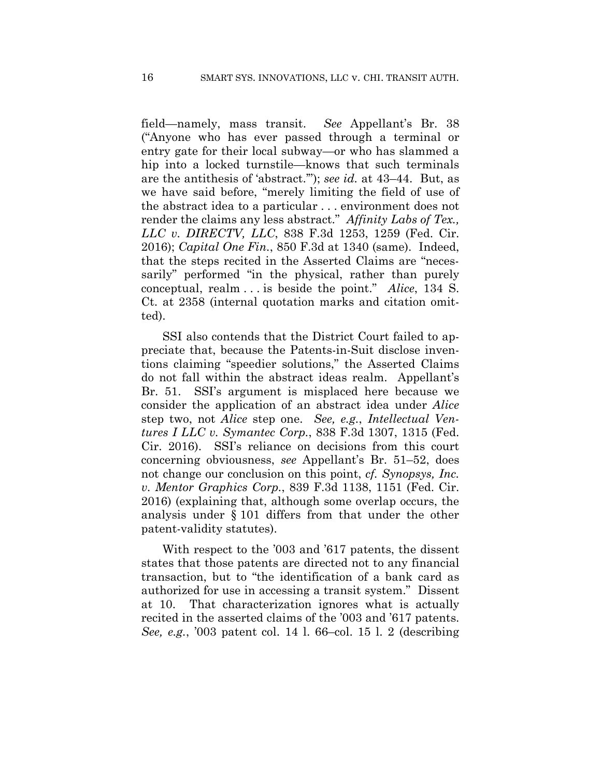field—namely, mass transit. *See* Appellant's Br. 38 ("Anyone who has ever passed through a terminal or entry gate for their local subway—or who has slammed a hip into a locked turnstile—knows that such terminals are the antithesis of 'abstract.'"); *see id.* at 43–44. But, as we have said before, "merely limiting the field of use of the abstract idea to a particular . . . environment does not render the claims any less abstract." *Affinity Labs of Tex., LLC v. DIRECTV, LLC*, 838 F.3d 1253, 1259 (Fed. Cir. 2016); *Capital One Fin.*, 850 F.3d at 1340 (same). Indeed, that the steps recited in the Asserted Claims are "necessarily" performed "in the physical, rather than purely conceptual, realm . . . is beside the point." *Alice*, 134 S. Ct. at 2358 (internal quotation marks and citation omitted).

SSI also contends that the District Court failed to appreciate that, because the Patents-in-Suit disclose inventions claiming "speedier solutions," the Asserted Claims do not fall within the abstract ideas realm. Appellant's Br. 51. SSI's argument is misplaced here because we consider the application of an abstract idea under *Alice*  step two, not *Alice* step one. *See, e.g.*, *Intellectual Ventures I LLC v. Symantec Corp.*, 838 F.3d 1307, 1315 (Fed. Cir. 2016). SSI's reliance on decisions from this court concerning obviousness, *see* Appellant's Br. 51–52, does not change our conclusion on this point, *cf. Synopsys, Inc. v. Mentor Graphics Corp.*, 839 F.3d 1138, 1151 (Fed. Cir. 2016) (explaining that, although some overlap occurs, the analysis under § 101 differs from that under the other patent-validity statutes).

With respect to the '003 and '617 patents, the dissent states that those patents are directed not to any financial transaction, but to "the identification of a bank card as authorized for use in accessing a transit system." Dissent at 10. That characterization ignores what is actually recited in the asserted claims of the '003 and '617 patents. *See, e.g.*, '003 patent col. 14 l. 66–col. 15 l. 2 (describing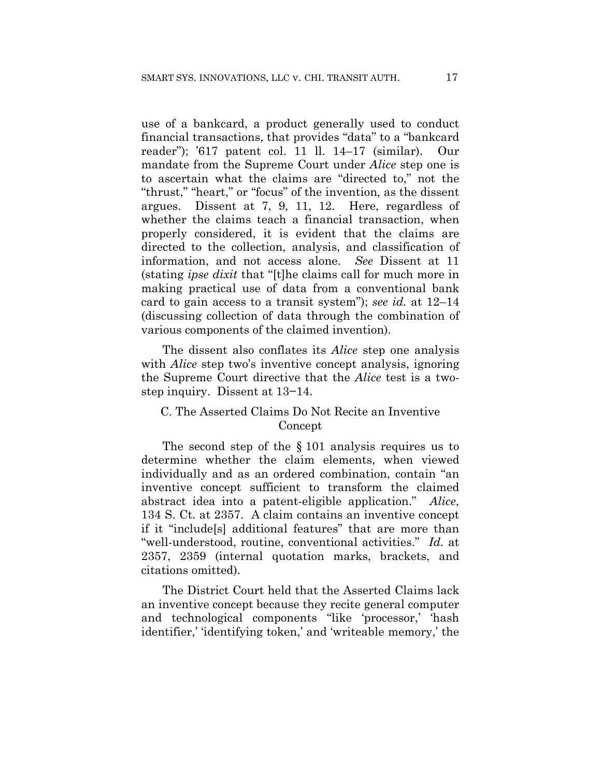use of a bankcard, a product generally used to conduct financial transactions, that provides "data" to a "bankcard reader"); '617 patent col. 11 ll. 14–17 (similar). Our mandate from the Supreme Court under *Alice* step one is to ascertain what the claims are "directed to," not the "thrust," "heart," or "focus" of the invention, as the dissent argues. Dissent at 7, 9, 11, 12. Here, regardless of whether the claims teach a financial transaction, when properly considered, it is evident that the claims are directed to the collection, analysis, and classification of information, and not access alone. *See* Dissent at 11 (stating *ipse dixit* that "[t]he claims call for much more in making practical use of data from a conventional bank card to gain access to a transit system"); *see id.* at 12–14 (discussing collection of data through the combination of various components of the claimed invention).

The dissent also conflates its *Alice* step one analysis with *Alice* step two's inventive concept analysis, ignoring the Supreme Court directive that the *Alice* test is a twostep inquiry. Dissent at 13−14.

## C. The Asserted Claims Do Not Recite an Inventive Concept

The second step of the § 101 analysis requires us to determine whether the claim elements, when viewed individually and as an ordered combination, contain "an inventive concept sufficient to transform the claimed abstract idea into a patent-eligible application." *Alice*, 134 S. Ct. at 2357. A claim contains an inventive concept if it "include[s] additional features" that are more than "well-understood, routine, conventional activities." *Id.* at 2357, 2359 (internal quotation marks, brackets, and citations omitted).

The District Court held that the Asserted Claims lack an inventive concept because they recite general computer and technological components "like 'processor,' 'hash identifier,' 'identifying token,' and 'writeable memory,' the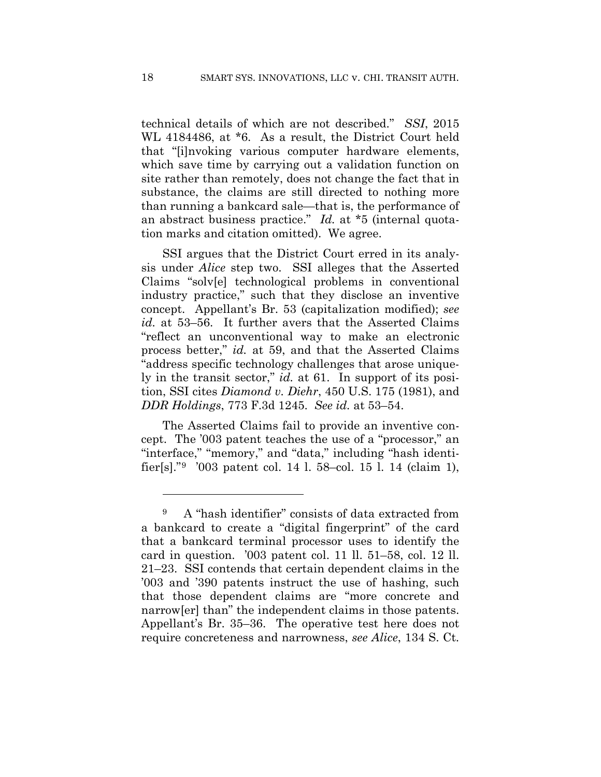technical details of which are not described." *SSI*, 2015 WL 4184486, at \*6. As a result, the District Court held that "[i]nvoking various computer hardware elements, which save time by carrying out a validation function on site rather than remotely, does not change the fact that in substance, the claims are still directed to nothing more than running a bankcard sale—that is, the performance of an abstract business practice." *Id.* at \*5 (internal quotation marks and citation omitted). We agree.

SSI argues that the District Court erred in its analysis under *Alice* step two. SSI alleges that the Asserted Claims "solv[e] technological problems in conventional industry practice," such that they disclose an inventive concept. Appellant's Br. 53 (capitalization modified); *see id.* at 53–56. It further avers that the Asserted Claims "reflect an unconventional way to make an electronic process better," *id.* at 59, and that the Asserted Claims "address specific technology challenges that arose uniquely in the transit sector," *id.* at 61. In support of its position, SSI cites *Diamond v. Diehr*, 450 U.S. 175 (1981), and *DDR Holdings*, 773 F.3d 1245. *See id.* at 53–54.

The Asserted Claims fail to provide an inventive concept. The '003 patent teaches the use of a "processor," an "interface," "memory," and "data," including "hash identifier[s]."9 '003 patent col. 14 l. 58–col. 15 l. 14 (claim 1),

<u>.</u>

<sup>9</sup> A "hash identifier" consists of data extracted from a bankcard to create a "digital fingerprint" of the card that a bankcard terminal processor uses to identify the card in question. '003 patent col. 11 ll. 51–58, col. 12 ll. 21–23. SSI contends that certain dependent claims in the '003 and '390 patents instruct the use of hashing, such that those dependent claims are "more concrete and narrow[er] than" the independent claims in those patents. Appellant's Br. 35–36. The operative test here does not require concreteness and narrowness, *see Alice*, 134 S. Ct.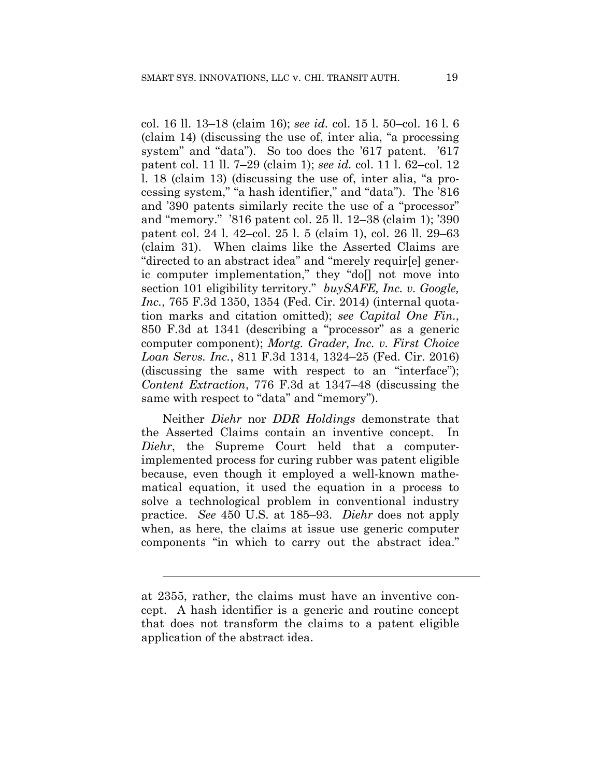col. 16 ll. 13–18 (claim 16); *see id.* col. 15 l. 50–col. 16 l. 6 (claim 14) (discussing the use of, inter alia, "a processing system" and "data"). So too does the '617 patent. '617 patent col. 11 ll. 7–29 (claim 1); *see id.* col. 11 l. 62–col. 12 l. 18 (claim 13) (discussing the use of, inter alia, "a processing system," "a hash identifier," and "data"). The '816 and '390 patents similarly recite the use of a "processor" and "memory." '816 patent col. 25 ll. 12–38 (claim 1); '390 patent col. 24 l. 42–col. 25 l. 5 (claim 1), col. 26 ll. 29–63 (claim 31). When claims like the Asserted Claims are "directed to an abstract idea" and "merely requir[e] generic computer implementation," they "do[] not move into section 101 eligibility territory." *buySAFE, Inc. v. Google, Inc.*, 765 F.3d 1350, 1354 (Fed. Cir. 2014) (internal quotation marks and citation omitted); *see Capital One Fin.*, 850 F.3d at 1341 (describing a "processor" as a generic computer component); *Mortg. Grader, Inc. v. First Choice Loan Servs. Inc.*, 811 F.3d 1314, 1324–25 (Fed. Cir. 2016) (discussing the same with respect to an "interface"); *Content Extraction*, 776 F.3d at 1347–48 (discussing the same with respect to "data" and "memory").

Neither *Diehr* nor *DDR Holdings* demonstrate that the Asserted Claims contain an inventive concept. In *Diehr*, the Supreme Court held that a computerimplemented process for curing rubber was patent eligible because, even though it employed a well-known mathematical equation, it used the equation in a process to solve a technological problem in conventional industry practice. *See* 450 U.S. at 185–93. *Diehr* does not apply when, as here, the claims at issue use generic computer components "in which to carry out the abstract idea."

 $\overline{a}$ 

at 2355, rather, the claims must have an inventive concept. A hash identifier is a generic and routine concept that does not transform the claims to a patent eligible application of the abstract idea.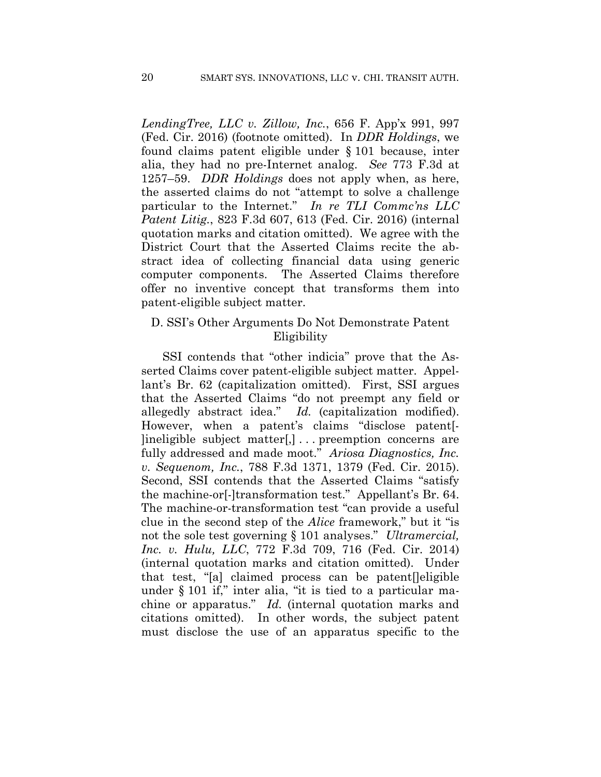*LendingTree, LLC v. Zillow, Inc.*, 656 F. App'x 991, 997 (Fed. Cir. 2016) (footnote omitted). In *DDR Holdings*, we found claims patent eligible under § 101 because, inter alia, they had no pre-Internet analog. *See* 773 F.3d at 1257–59. *DDR Holdings* does not apply when, as here, the asserted claims do not "attempt to solve a challenge particular to the Internet." *In re TLI Commc'ns LLC Patent Litig.*, 823 F.3d 607, 613 (Fed. Cir. 2016) (internal quotation marks and citation omitted). We agree with the District Court that the Asserted Claims recite the abstract idea of collecting financial data using generic computer components. The Asserted Claims therefore offer no inventive concept that transforms them into patent-eligible subject matter.

## D. SSI's Other Arguments Do Not Demonstrate Patent Eligibility

SSI contends that "other indicia" prove that the Asserted Claims cover patent-eligible subject matter. Appellant's Br. 62 (capitalization omitted). First, SSI argues that the Asserted Claims "do not preempt any field or allegedly abstract idea." *Id.* (capitalization modified). However, when a patent's claims "disclose patent[- ]ineligible subject matter[,] . . . preemption concerns are fully addressed and made moot." *Ariosa Diagnostics, Inc. v. Sequenom, Inc.*, 788 F.3d 1371, 1379 (Fed. Cir. 2015). Second, SSI contends that the Asserted Claims "satisfy the machine-or[-]transformation test." Appellant's Br. 64. The machine-or-transformation test "can provide a useful clue in the second step of the *Alice* framework," but it "is not the sole test governing § 101 analyses." *Ultramercial, Inc. v. Hulu, LLC*, 772 F.3d 709, 716 (Fed. Cir. 2014) (internal quotation marks and citation omitted). Under that test, "[a] claimed process can be patent[]eligible under § 101 if," inter alia, "it is tied to a particular machine or apparatus." *Id.* (internal quotation marks and citations omitted). In other words, the subject patent must disclose the use of an apparatus specific to the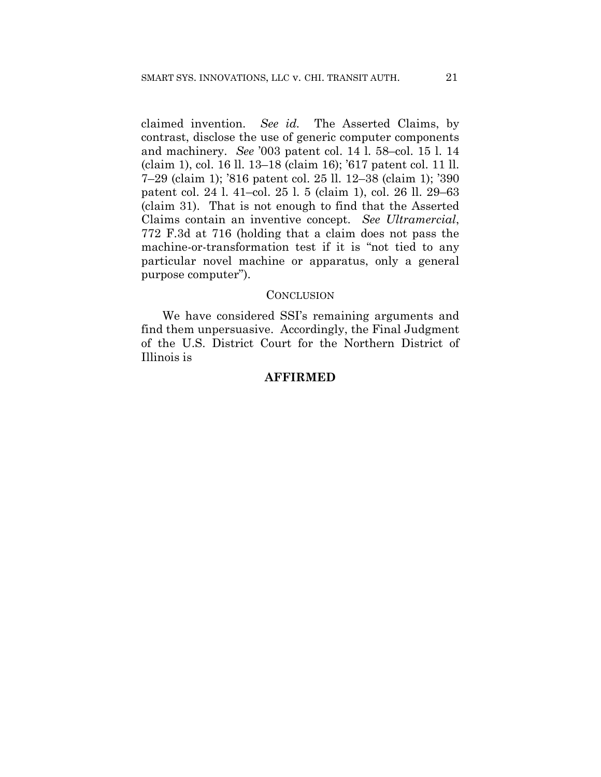claimed invention. *See id.* The Asserted Claims, by contrast, disclose the use of generic computer components and machinery. *See* '003 patent col. 14 l. 58–col. 15 l. 14 (claim 1), col. 16 ll. 13–18 (claim 16); '617 patent col. 11 ll. 7–29 (claim 1); '816 patent col. 25 ll. 12–38 (claim 1); '390 patent col. 24 l. 41–col. 25 l. 5 (claim 1), col. 26 ll. 29–63 (claim 31). That is not enough to find that the Asserted Claims contain an inventive concept. *See Ultramercial*, 772 F.3d at 716 (holding that a claim does not pass the machine-or-transformation test if it is "not tied to any particular novel machine or apparatus, only a general purpose computer").

#### **CONCLUSION**

We have considered SSI's remaining arguments and find them unpersuasive. Accordingly, the Final Judgment of the U.S. District Court for the Northern District of Illinois is

## **AFFIRMED**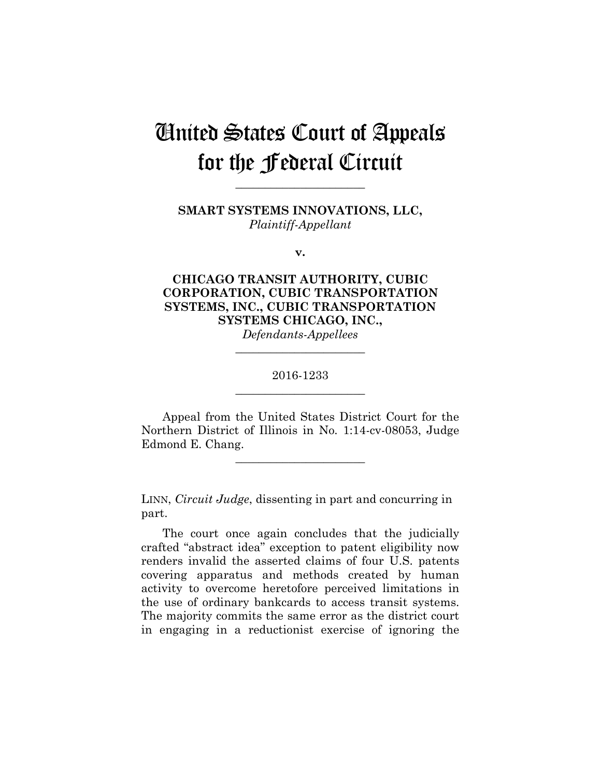# United States Court of Appeals for the Federal Circuit

**SMART SYSTEMS INNOVATIONS, LLC,** *Plaintiff-Appellant*

**\_\_\_\_\_\_\_\_\_\_\_\_\_\_\_\_\_\_\_\_\_\_** 

**v.**

## **CHICAGO TRANSIT AUTHORITY, CUBIC CORPORATION, CUBIC TRANSPORTATION SYSTEMS, INC., CUBIC TRANSPORTATION SYSTEMS CHICAGO, INC.,** *Defendants-Appellees*

2016-1233 **\_\_\_\_\_\_\_\_\_\_\_\_\_\_\_\_\_\_\_\_\_\_** 

**\_\_\_\_\_\_\_\_\_\_\_\_\_\_\_\_\_\_\_\_\_\_** 

Appeal from the United States District Court for the Northern District of Illinois in No. 1:14-cv-08053, Judge Edmond E. Chang.

**\_\_\_\_\_\_\_\_\_\_\_\_\_\_\_\_\_\_\_\_\_\_** 

LINN, *Circuit Judge*, dissenting in part and concurring in part.

The court once again concludes that the judicially crafted "abstract idea" exception to patent eligibility now renders invalid the asserted claims of four U.S. patents covering apparatus and methods created by human activity to overcome heretofore perceived limitations in the use of ordinary bankcards to access transit systems. The majority commits the same error as the district court in engaging in a reductionist exercise of ignoring the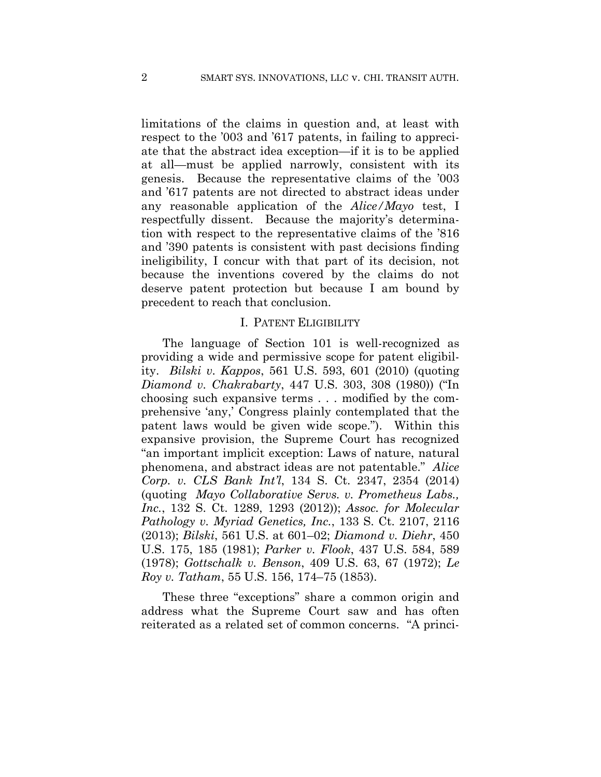limitations of the claims in question and, at least with respect to the '003 and '617 patents, in failing to appreciate that the abstract idea exception—if it is to be applied at all—must be applied narrowly, consistent with its genesis. Because the representative claims of the '003 and '617 patents are not directed to abstract ideas under any reasonable application of the *Alice/Mayo* test, I respectfully dissent. Because the majority's determination with respect to the representative claims of the '816 and '390 patents is consistent with past decisions finding ineligibility, I concur with that part of its decision, not because the inventions covered by the claims do not deserve patent protection but because I am bound by precedent to reach that conclusion.

#### I. PATENT ELIGIBILITY

The language of Section 101 is well-recognized as providing a wide and permissive scope for patent eligibility. *Bilski v. Kappos*, 561 U.S. 593, 601 (2010) (quoting *Diamond v. Chakrabarty*, 447 U.S. 303, 308 (1980)) ("In choosing such expansive terms . . . modified by the comprehensive 'any,' Congress plainly contemplated that the patent laws would be given wide scope."). Within this expansive provision, the Supreme Court has recognized "an important implicit exception: Laws of nature, natural phenomena, and abstract ideas are not patentable." *Alice Corp. v. CLS Bank Int'l*, 134 S. Ct. 2347, 2354 (2014) (quoting *Mayo Collaborative Servs. v. Prometheus Labs., Inc.*, 132 S. Ct. 1289, 1293 (2012)); *Assoc. for Molecular Pathology v. Myriad Genetics, Inc.*, 133 S. Ct. 2107, 2116 (2013); *Bilski*, 561 U.S. at 601–02; *Diamond v. Diehr*, 450 U.S. 175, 185 (1981); *Parker v. Flook*, 437 U.S. 584, 589 (1978); *Gottschalk v. Benson*, 409 U.S. 63, 67 (1972); *Le Roy v. Tatham*, 55 U.S. 156, 174–75 (1853).

These three "exceptions" share a common origin and address what the Supreme Court saw and has often reiterated as a related set of common concerns. "A princi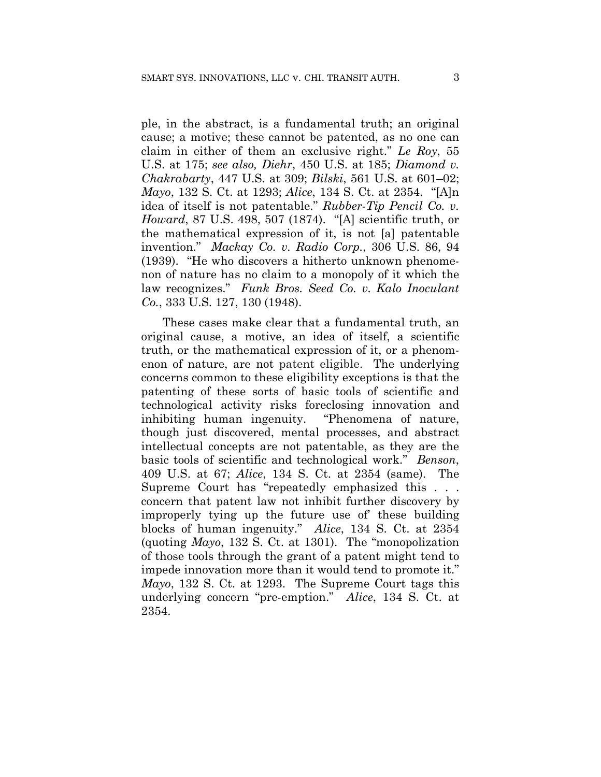ple, in the abstract, is a fundamental truth; an original cause; a motive; these cannot be patented, as no one can claim in either of them an exclusive right." *Le Roy*, 55 U.S. at 175; *see also, Diehr*, 450 U.S. at 185; *Diamond v. Chakrabarty*, 447 U.S. at 309; *Bilski*, 561 U.S. at 601–02; *Mayo*, 132 S. Ct. at 1293; *Alice*, 134 S. Ct. at 2354. "[A]n idea of itself is not patentable." *Rubber-Tip Pencil Co. v. Howard*, 87 U.S. 498, 507 (1874). "[A] scientific truth, or the mathematical expression of it, is not [a] patentable invention." *Mackay Co. v. Radio Corp.*, 306 U.S. 86, 94 (1939). "He who discovers a hitherto unknown phenomenon of nature has no claim to a monopoly of it which the law recognizes." *Funk Bros. Seed Co. v. Kalo Inoculant Co.*, 333 U.S. 127, 130 (1948).

These cases make clear that a fundamental truth, an original cause, a motive, an idea of itself, a scientific truth, or the mathematical expression of it, or a phenomenon of nature, are not patent eligible. The underlying concerns common to these eligibility exceptions is that the patenting of these sorts of basic tools of scientific and technological activity risks foreclosing innovation and inhibiting human ingenuity. "Phenomena of nature, though just discovered, mental processes, and abstract intellectual concepts are not patentable, as they are the basic tools of scientific and technological work." *Benson*, 409 U.S. at 67; *Alice*, 134 S. Ct. at 2354 (same). The Supreme Court has "repeatedly emphasized this . . . concern that patent law not inhibit further discovery by improperly tying up the future use of' these building blocks of human ingenuity." *Alice*, 134 S. Ct. at 2354 (quoting *Mayo*, 132 S. Ct. at 1301). The "monopolization of those tools through the grant of a patent might tend to impede innovation more than it would tend to promote it." *Mayo*, 132 S. Ct. at 1293. The Supreme Court tags this underlying concern "pre-emption." *Alice*, 134 S. Ct. at 2354.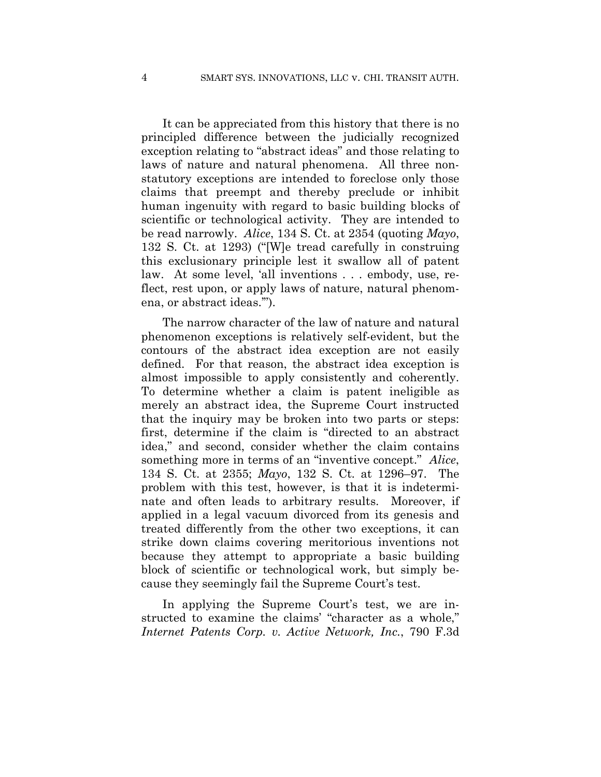It can be appreciated from this history that there is no principled difference between the judicially recognized exception relating to "abstract ideas" and those relating to laws of nature and natural phenomena. All three nonstatutory exceptions are intended to foreclose only those claims that preempt and thereby preclude or inhibit human ingenuity with regard to basic building blocks of scientific or technological activity. They are intended to be read narrowly. *Alice*, 134 S. Ct. at 2354 (quoting *Mayo*, 132 S. Ct. at 1293) ("[W]e tread carefully in construing this exclusionary principle lest it swallow all of patent law. At some level, 'all inventions . . . embody, use, reflect, rest upon, or apply laws of nature, natural phenomena, or abstract ideas.'").

The narrow character of the law of nature and natural phenomenon exceptions is relatively self-evident, but the contours of the abstract idea exception are not easily defined. For that reason, the abstract idea exception is almost impossible to apply consistently and coherently. To determine whether a claim is patent ineligible as merely an abstract idea, the Supreme Court instructed that the inquiry may be broken into two parts or steps: first, determine if the claim is "directed to an abstract idea," and second, consider whether the claim contains something more in terms of an "inventive concept." *Alice*, 134 S. Ct. at 2355; *Mayo*, 132 S. Ct. at 1296–97. The problem with this test, however, is that it is indeterminate and often leads to arbitrary results. Moreover, if applied in a legal vacuum divorced from its genesis and treated differently from the other two exceptions, it can strike down claims covering meritorious inventions not because they attempt to appropriate a basic building block of scientific or technological work, but simply because they seemingly fail the Supreme Court's test.

In applying the Supreme Court's test, we are instructed to examine the claims' "character as a whole," *Internet Patents Corp. v. Active Network, Inc.*, 790 F.3d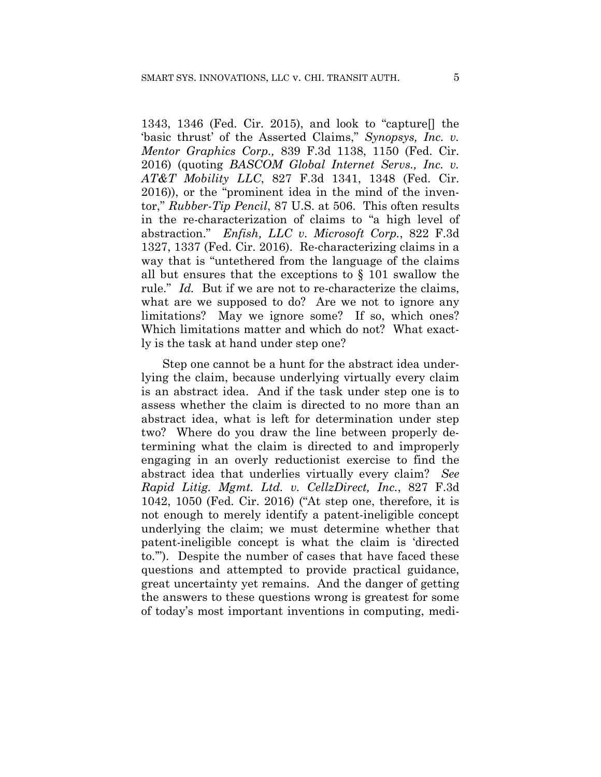1343, 1346 (Fed. Cir. 2015), and look to "capture[] the 'basic thrust' of the Asserted Claims," *Synopsys, Inc. v. Mentor Graphics Corp.,* 839 F.3d 1138, 1150 (Fed. Cir. 2016) (quoting *BASCOM Global Internet Servs., Inc. v. AT&T Mobility LLC*, 827 F.3d 1341, 1348 (Fed. Cir. 2016)), or the "prominent idea in the mind of the inventor," *Rubber-Tip Pencil*, 87 U.S. at 506. This often results in the re-characterization of claims to "a high level of abstraction." *Enfish, LLC v. Microsoft Corp.*, 822 F.3d 1327, 1337 (Fed. Cir. 2016). Re-characterizing claims in a way that is "untethered from the language of the claims all but ensures that the exceptions to § 101 swallow the rule." *Id.* But if we are not to re-characterize the claims, what are we supposed to do? Are we not to ignore any limitations? May we ignore some? If so, which ones? Which limitations matter and which do not? What exactly is the task at hand under step one?

Step one cannot be a hunt for the abstract idea underlying the claim, because underlying virtually every claim is an abstract idea. And if the task under step one is to assess whether the claim is directed to no more than an abstract idea, what is left for determination under step two? Where do you draw the line between properly determining what the claim is directed to and improperly engaging in an overly reductionist exercise to find the abstract idea that underlies virtually every claim? *See Rapid Litig. Mgmt. Ltd. v. CellzDirect, Inc.*, 827 F.3d 1042, 1050 (Fed. Cir. 2016) ("At step one, therefore, it is not enough to merely identify a patent-ineligible concept underlying the claim; we must determine whether that patent-ineligible concept is what the claim is 'directed to.'"). Despite the number of cases that have faced these questions and attempted to provide practical guidance, great uncertainty yet remains. And the danger of getting the answers to these questions wrong is greatest for some of today's most important inventions in computing, medi-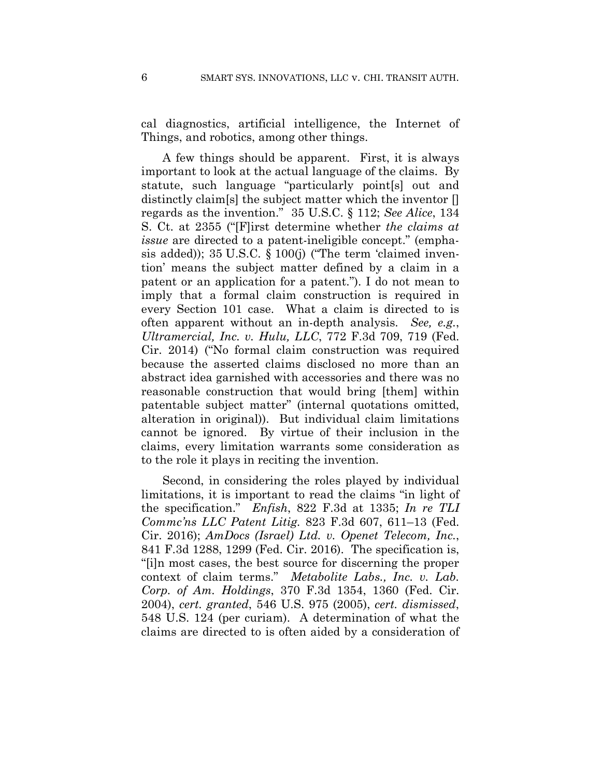cal diagnostics, artificial intelligence, the Internet of Things, and robotics, among other things.

A few things should be apparent. First, it is always important to look at the actual language of the claims. By statute, such language "particularly point[s] out and distinctly claim[s] the subject matter which the inventor [] regards as the invention." 35 U.S.C. § 112; *See Alice*, 134 S. Ct. at 2355 ("[F]irst determine whether *the claims at issue* are directed to a patent-ineligible concept." (emphasis added)); 35 U.S.C. § 100(j) ("The term 'claimed invention' means the subject matter defined by a claim in a patent or an application for a patent."). I do not mean to imply that a formal claim construction is required in every Section 101 case. What a claim is directed to is often apparent without an in-depth analysis. *See, e.g.*, *Ultramercial, Inc. v. Hulu, LLC*, 772 F.3d 709, 719 (Fed. Cir. 2014) ("No formal claim construction was required because the asserted claims disclosed no more than an abstract idea garnished with accessories and there was no reasonable construction that would bring [them] within patentable subject matter" (internal quotations omitted, alteration in original)). But individual claim limitations cannot be ignored. By virtue of their inclusion in the claims, every limitation warrants some consideration as to the role it plays in reciting the invention.

Second, in considering the roles played by individual limitations, it is important to read the claims "in light of the specification." *Enfish*, 822 F.3d at 1335; *In re TLI Commc'ns LLC Patent Litig.* 823 F.3d 607, 611–13 (Fed. Cir. 2016); *AmDocs (Israel) Ltd. v. Openet Telecom, Inc.*, 841 F.3d 1288, 1299 (Fed. Cir. 2016). The specification is, "[i]n most cases, the best source for discerning the proper context of claim terms." *Metabolite Labs., Inc. v. Lab. Corp. of Am. Holdings*, 370 F.3d 1354, 1360 (Fed. Cir. 2004), *cert. granted*, 546 U.S. 975 (2005), *cert. dismissed*, 548 U.S. 124 (per curiam). A determination of what the claims are directed to is often aided by a consideration of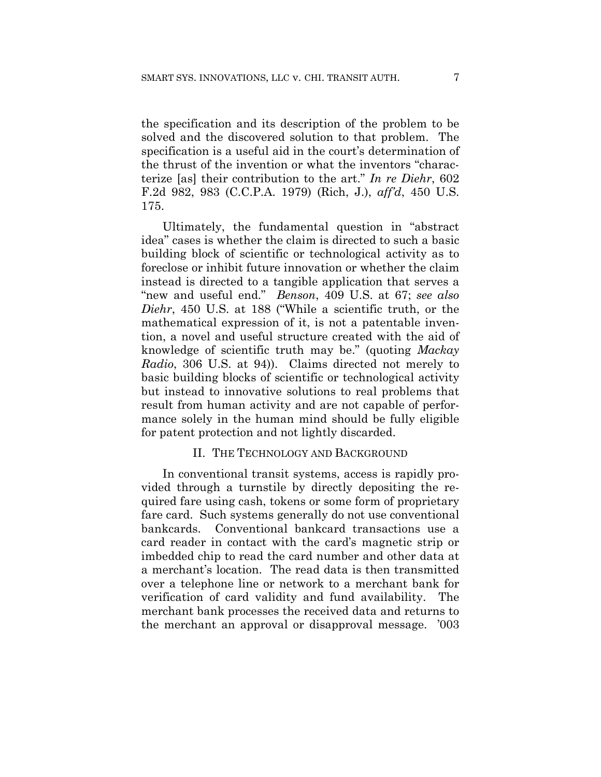the specification and its description of the problem to be solved and the discovered solution to that problem. The specification is a useful aid in the court's determination of the thrust of the invention or what the inventors "characterize [as] their contribution to the art." *In re Diehr*, 602 F.2d 982, 983 (C.C.P.A. 1979) (Rich, J.), *aff'd*, 450 U.S. 175.

Ultimately, the fundamental question in "abstract idea" cases is whether the claim is directed to such a basic building block of scientific or technological activity as to foreclose or inhibit future innovation or whether the claim instead is directed to a tangible application that serves a "new and useful end." *Benson*, 409 U.S. at 67; *see also Diehr*, 450 U.S. at 188 ("While a scientific truth, or the mathematical expression of it, is not a patentable invention, a novel and useful structure created with the aid of knowledge of scientific truth may be." (quoting *Mackay Radio*, 306 U.S. at 94)). Claims directed not merely to basic building blocks of scientific or technological activity but instead to innovative solutions to real problems that result from human activity and are not capable of performance solely in the human mind should be fully eligible for patent protection and not lightly discarded.

#### II. THE TECHNOLOGY AND BACKGROUND

In conventional transit systems, access is rapidly provided through a turnstile by directly depositing the required fare using cash, tokens or some form of proprietary fare card. Such systems generally do not use conventional bankcards. Conventional bankcard transactions use a card reader in contact with the card's magnetic strip or imbedded chip to read the card number and other data at a merchant's location. The read data is then transmitted over a telephone line or network to a merchant bank for verification of card validity and fund availability. The merchant bank processes the received data and returns to the merchant an approval or disapproval message. '003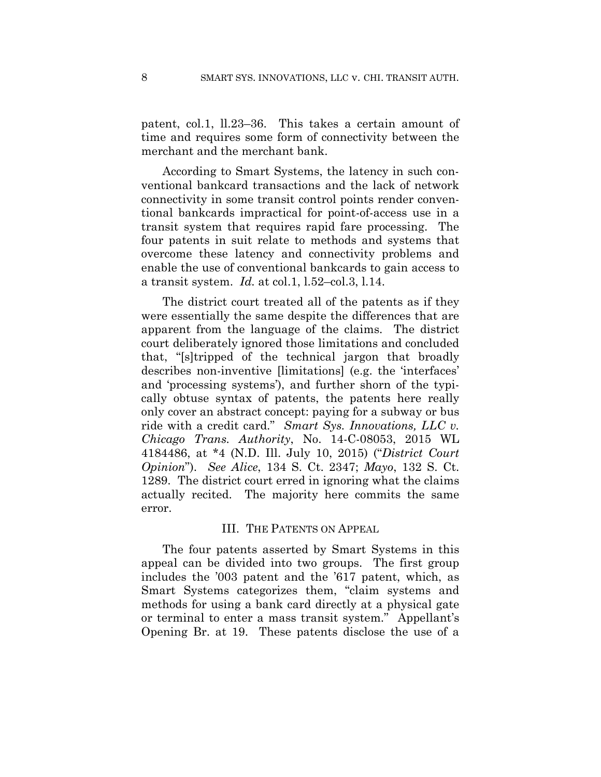patent, col.1, ll.23–36. This takes a certain amount of time and requires some form of connectivity between the merchant and the merchant bank.

According to Smart Systems, the latency in such conventional bankcard transactions and the lack of network connectivity in some transit control points render conventional bankcards impractical for point-of-access use in a transit system that requires rapid fare processing. The four patents in suit relate to methods and systems that overcome these latency and connectivity problems and enable the use of conventional bankcards to gain access to a transit system. *Id.* at col.1, l.52–col.3, l.14.

The district court treated all of the patents as if they were essentially the same despite the differences that are apparent from the language of the claims. The district court deliberately ignored those limitations and concluded that, "[s]tripped of the technical jargon that broadly describes non-inventive [limitations] (e.g. the 'interfaces' and 'processing systems'), and further shorn of the typically obtuse syntax of patents, the patents here really only cover an abstract concept: paying for a subway or bus ride with a credit card." *Smart Sys. Innovations, LLC v. Chicago Trans. Authority*, No. 14-C-08053, 2015 WL 4184486, at \*4 (N.D. Ill. July 10, 2015) ("*District Court Opinion*"). *See Alice*, 134 S. Ct. 2347; *Mayo*, 132 S. Ct. 1289. The district court erred in ignoring what the claims actually recited. The majority here commits the same error.

#### III. THE PATENTS ON APPEAL

The four patents asserted by Smart Systems in this appeal can be divided into two groups. The first group includes the '003 patent and the '617 patent, which, as Smart Systems categorizes them, "claim systems and methods for using a bank card directly at a physical gate or terminal to enter a mass transit system." Appellant's Opening Br. at 19. These patents disclose the use of a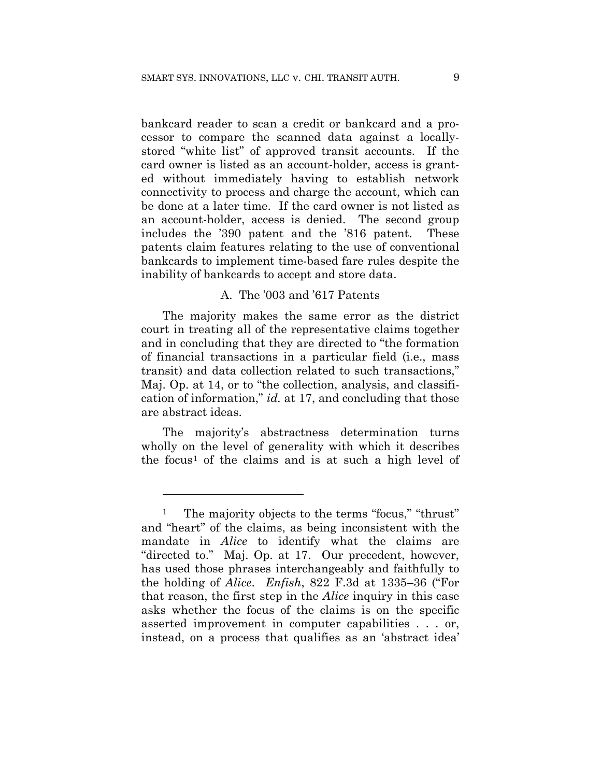bankcard reader to scan a credit or bankcard and a processor to compare the scanned data against a locallystored "white list" of approved transit accounts. If the card owner is listed as an account-holder, access is granted without immediately having to establish network connectivity to process and charge the account, which can be done at a later time. If the card owner is not listed as an account-holder, access is denied. The second group includes the '390 patent and the '816 patent. These patents claim features relating to the use of conventional bankcards to implement time-based fare rules despite the inability of bankcards to accept and store data.

#### A. The '003 and '617 Patents

The majority makes the same error as the district court in treating all of the representative claims together and in concluding that they are directed to "the formation of financial transactions in a particular field (i.e., mass transit) and data collection related to such transactions," Maj. Op. at 14, or to "the collection, analysis, and classification of information," *id.* at 17, and concluding that those are abstract ideas.

The majority's abstractness determination turns wholly on the level of generality with which it describes the focus<sup>1</sup> of the claims and is at such a high level of

<u>.</u>

The majority objects to the terms "focus," "thrust" and "heart" of the claims, as being inconsistent with the mandate in *Alice* to identify what the claims are "directed to." Maj. Op. at 17. Our precedent, however, has used those phrases interchangeably and faithfully to the holding of *Alice*. *Enfish*, 822 F.3d at 1335–36 ("For that reason, the first step in the *Alice* inquiry in this case asks whether the focus of the claims is on the specific asserted improvement in computer capabilities . . . or, instead, on a process that qualifies as an 'abstract idea'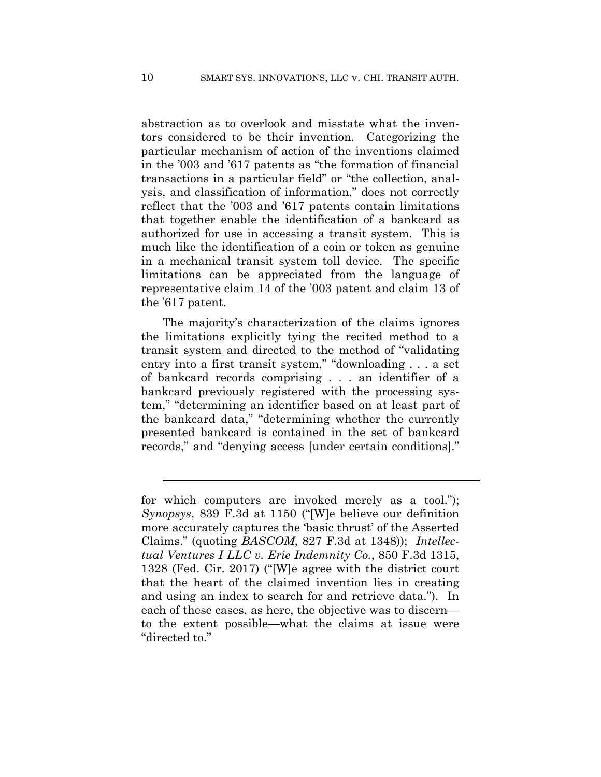abstraction as to overlook and misstate what the inventors considered to be their invention. Categorizing the particular mechanism of action of the inventions claimed in the '003 and '617 patents as "the formation of financial transactions in a particular field" or "the collection, analysis, and classification of information," does not correctly reflect that the '003 and '617 patents contain limitations that together enable the identification of a bankcard as authorized for use in accessing a transit system. This is much like the identification of a coin or token as genuine in a mechanical transit system toll device. The specific limitations can be appreciated from the language of representative claim 14 of the '003 patent and claim 13 of the '617 patent.

The majority's characterization of the claims ignores the limitations explicitly tying the recited method to a transit system and directed to the method of "validating entry into a first transit system," "downloading . . . a set of bankcard records comprising . . . an identifier of a bankcard previously registered with the processing system," "determining an identifier based on at least part of the bankcard data," "determining whether the currently presented bankcard is contained in the set of bankcard records," and "denying access [under certain conditions]."

l

for which computers are invoked merely as a tool."); *Synopsys*, 839 F.3d at 1150 ("[W]e believe our definition more accurately captures the 'basic thrust' of the Asserted Claims." (quoting *BASCOM*, 827 F.3d at 1348)); *Intellectual Ventures I LLC v. Erie Indemnity Co.*, 850 F.3d 1315, 1328 (Fed. Cir. 2017) ("[W]e agree with the district court that the heart of the claimed invention lies in creating and using an index to search for and retrieve data."). In each of these cases, as here, the objective was to discern to the extent possible—what the claims at issue were "directed to."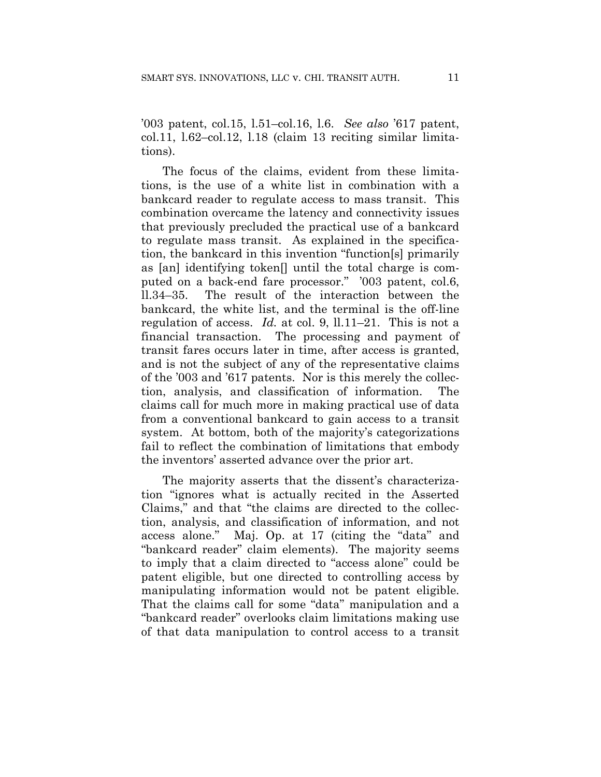'003 patent, col.15, l.51–col.16, l.6. *See also* '617 patent, col.11, l.62–col.12, l.18 (claim 13 reciting similar limitations).

The focus of the claims, evident from these limitations, is the use of a white list in combination with a bankcard reader to regulate access to mass transit. This combination overcame the latency and connectivity issues that previously precluded the practical use of a bankcard to regulate mass transit. As explained in the specification, the bankcard in this invention "function[s] primarily as [an] identifying token[] until the total charge is computed on a back-end fare processor." '003 patent, col.6, ll.34–35. The result of the interaction between the bankcard, the white list, and the terminal is the off-line regulation of access. *Id.* at col. 9, ll.11–21. This is not a financial transaction. The processing and payment of transit fares occurs later in time, after access is granted, and is not the subject of any of the representative claims of the '003 and '617 patents. Nor is this merely the collection, analysis, and classification of information. The claims call for much more in making practical use of data from a conventional bankcard to gain access to a transit system. At bottom, both of the majority's categorizations fail to reflect the combination of limitations that embody the inventors' asserted advance over the prior art.

The majority asserts that the dissent's characterization "ignores what is actually recited in the Asserted Claims," and that "the claims are directed to the collection, analysis, and classification of information, and not access alone." Maj. Op. at 17 (citing the "data" and "bankcard reader" claim elements). The majority seems to imply that a claim directed to "access alone" could be patent eligible, but one directed to controlling access by manipulating information would not be patent eligible. That the claims call for some "data" manipulation and a "bankcard reader" overlooks claim limitations making use of that data manipulation to control access to a transit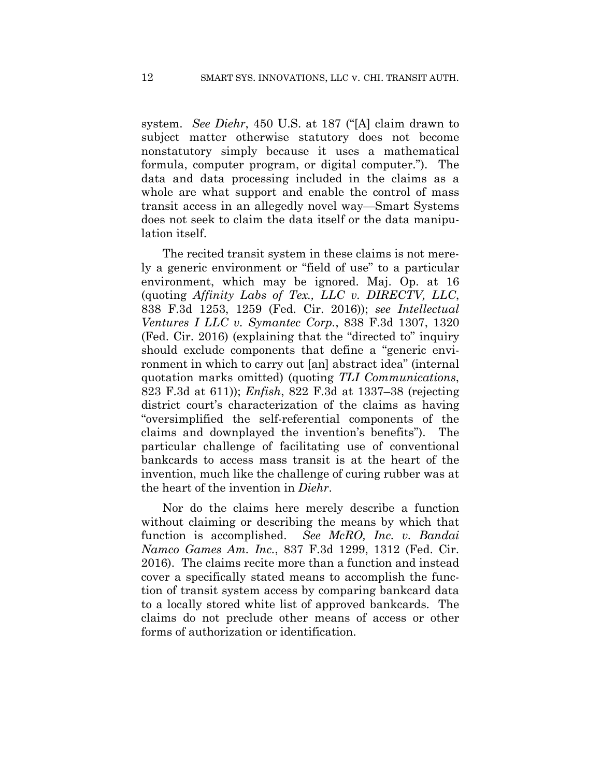system. *See Diehr*, 450 U.S. at 187 ("[A] claim drawn to subject matter otherwise statutory does not become nonstatutory simply because it uses a mathematical formula, computer program, or digital computer."). The data and data processing included in the claims as a whole are what support and enable the control of mass transit access in an allegedly novel way—Smart Systems does not seek to claim the data itself or the data manipulation itself.

The recited transit system in these claims is not merely a generic environment or "field of use" to a particular environment, which may be ignored. Maj. Op. at 16 (quoting *Affinity Labs of Tex., LLC v. DIRECTV, LLC*, 838 F.3d 1253, 1259 (Fed. Cir. 2016)); *see Intellectual Ventures I LLC v. Symantec Corp.*, 838 F.3d 1307, 1320 (Fed. Cir. 2016) (explaining that the "directed to" inquiry should exclude components that define a "generic environment in which to carry out [an] abstract idea" (internal quotation marks omitted) (quoting *TLI Communications*, 823 F.3d at 611)); *Enfish*, 822 F.3d at 1337–38 (rejecting district court's characterization of the claims as having "oversimplified the self-referential components of the claims and downplayed the invention's benefits"). The particular challenge of facilitating use of conventional bankcards to access mass transit is at the heart of the invention, much like the challenge of curing rubber was at the heart of the invention in *Diehr*.

Nor do the claims here merely describe a function without claiming or describing the means by which that function is accomplished. *See McRO, Inc. v. Bandai Namco Games Am. Inc.*, 837 F.3d 1299, 1312 (Fed. Cir. 2016). The claims recite more than a function and instead cover a specifically stated means to accomplish the function of transit system access by comparing bankcard data to a locally stored white list of approved bankcards. The claims do not preclude other means of access or other forms of authorization or identification.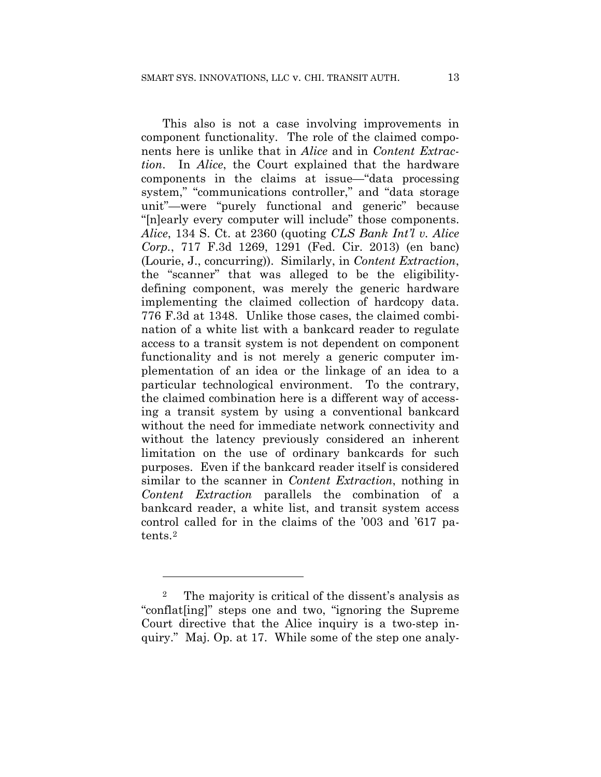This also is not a case involving improvements in component functionality. The role of the claimed components here is unlike that in *Alice* and in *Content Extraction*. In *Alice*, the Court explained that the hardware components in the claims at issue—"data processing system," "communications controller," and "data storage unit"—were "purely functional and generic" because "[n]early every computer will include" those components. *Alice*, 134 S. Ct. at 2360 (quoting *CLS Bank Int'l v. Alice Corp.*, 717 F.3d 1269, 1291 (Fed. Cir. 2013) (en banc) (Lourie, J., concurring)). Similarly, in *Content Extraction*, the "scanner" that was alleged to be the eligibilitydefining component, was merely the generic hardware implementing the claimed collection of hardcopy data. 776 F.3d at 1348. Unlike those cases, the claimed combination of a white list with a bankcard reader to regulate access to a transit system is not dependent on component functionality and is not merely a generic computer implementation of an idea or the linkage of an idea to a particular technological environment. To the contrary, the claimed combination here is a different way of accessing a transit system by using a conventional bankcard without the need for immediate network connectivity and without the latency previously considered an inherent limitation on the use of ordinary bankcards for such purposes. Even if the bankcard reader itself is considered similar to the scanner in *Content Extraction*, nothing in *Content Extraction* parallels the combination of a bankcard reader, a white list, and transit system access control called for in the claims of the '003 and '617 patents.2

<u>.</u>

<sup>2</sup> The majority is critical of the dissent's analysis as "conflat[ing]" steps one and two, "ignoring the Supreme Court directive that the Alice inquiry is a two-step inquiry." Maj. Op. at 17. While some of the step one analy-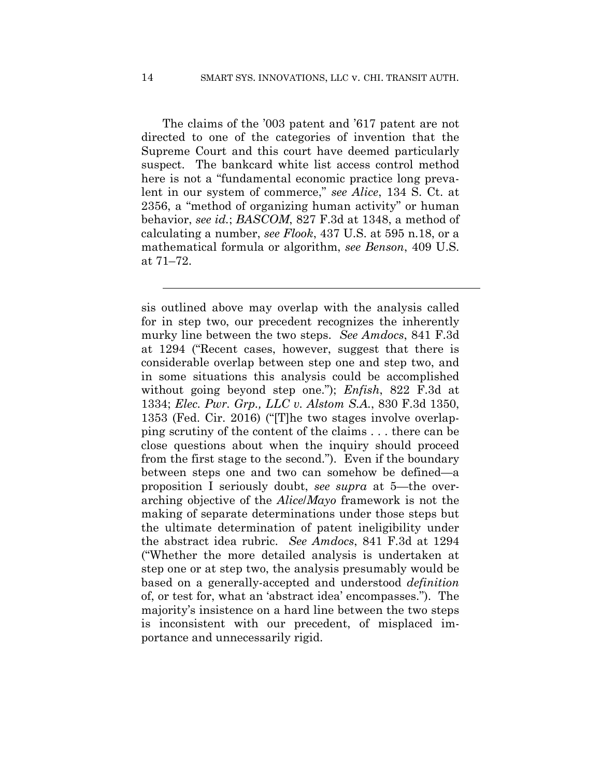The claims of the '003 patent and '617 patent are not directed to one of the categories of invention that the Supreme Court and this court have deemed particularly suspect. The bankcard white list access control method here is not a "fundamental economic practice long prevalent in our system of commerce," *see Alice*, 134 S. Ct. at 2356, a "method of organizing human activity" or human behavior, *see id.*; *BASCOM*, 827 F.3d at 1348, a method of calculating a number, *see Flook*, 437 U.S. at 595 n.18, or a mathematical formula or algorithm, *see Benson*, 409 U.S. at 71–72.

sis outlined above may overlap with the analysis called for in step two, our precedent recognizes the inherently murky line between the two steps. *See Amdocs*, 841 F.3d at 1294 ("Recent cases, however, suggest that there is considerable overlap between step one and step two, and in some situations this analysis could be accomplished without going beyond step one."); *Enfish*, 822 F.3d at 1334; *Elec. Pwr. Grp., LLC v. Alstom S.A.*, 830 F.3d 1350, 1353 (Fed. Cir. 2016) ("[T]he two stages involve overlapping scrutiny of the content of the claims . . . there can be close questions about when the inquiry should proceed from the first stage to the second."). Even if the boundary between steps one and two can somehow be defined—a proposition I seriously doubt, *see supra* at 5—the overarching objective of the *Alice*/*Mayo* framework is not the making of separate determinations under those steps but the ultimate determination of patent ineligibility under the abstract idea rubric. *See Amdocs*, 841 F.3d at 1294 ("Whether the more detailed analysis is undertaken at step one or at step two, the analysis presumably would be based on a generally-accepted and understood *definition* of, or test for, what an 'abstract idea' encompasses."). The majority's insistence on a hard line between the two steps is inconsistent with our precedent, of misplaced importance and unnecessarily rigid.

 $\overline{a}$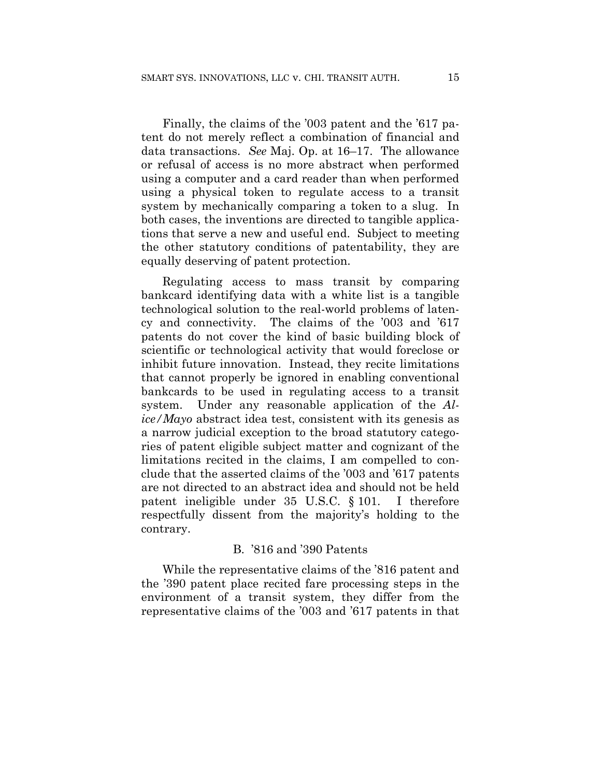Finally, the claims of the '003 patent and the '617 patent do not merely reflect a combination of financial and data transactions. *See* Maj. Op. at 16–17. The allowance or refusal of access is no more abstract when performed using a computer and a card reader than when performed using a physical token to regulate access to a transit system by mechanically comparing a token to a slug. In both cases, the inventions are directed to tangible applications that serve a new and useful end. Subject to meeting the other statutory conditions of patentability, they are equally deserving of patent protection.

Regulating access to mass transit by comparing bankcard identifying data with a white list is a tangible technological solution to the real-world problems of latency and connectivity. The claims of the '003 and '617 patents do not cover the kind of basic building block of scientific or technological activity that would foreclose or inhibit future innovation. Instead, they recite limitations that cannot properly be ignored in enabling conventional bankcards to be used in regulating access to a transit system. Under any reasonable application of the *Alice/Mayo* abstract idea test, consistent with its genesis as a narrow judicial exception to the broad statutory categories of patent eligible subject matter and cognizant of the limitations recited in the claims, I am compelled to conclude that the asserted claims of the '003 and '617 patents are not directed to an abstract idea and should not be held patent ineligible under 35 U.S.C. § 101. I therefore respectfully dissent from the majority's holding to the contrary.

#### B. '816 and '390 Patents

While the representative claims of the '816 patent and the '390 patent place recited fare processing steps in the environment of a transit system, they differ from the representative claims of the '003 and '617 patents in that